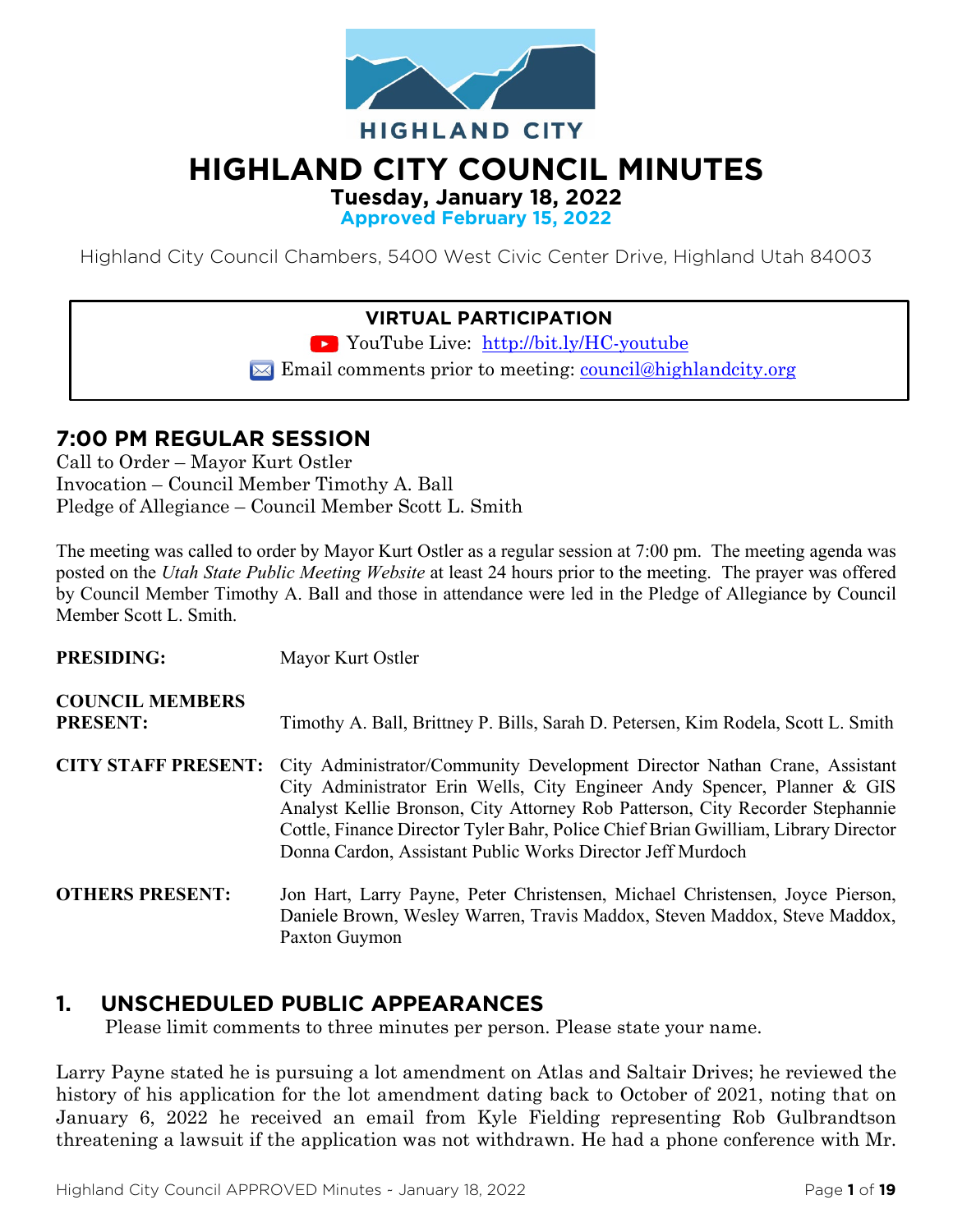

# **HIGHLAND CITY COUNCIL MINUTES**

**Tuesday, January 18, 2022**

**Approved February 15, 2022**

Highland City Council Chambers, 5400 West Civic Center Drive, Highland Utah 84003

## **VIRTUAL PARTICIPATION**

YouTube Live: <http://bit.ly/HC-youtube>

 $\boxtimes$  Email comments prior to meeting: [council@highlandcity.org](mailto:council@highlandcity.org)

# **7:00 PM REGULAR SESSION**

Call to Order – Mayor Kurt Ostler Invocation – Council Member Timothy A. Ball Pledge of Allegiance – Council Member Scott L. Smith

The meeting was called to order by Mayor Kurt Ostler as a regular session at 7:00 pm. The meeting agenda was posted on the *Utah State Public Meeting Website* at least 24 hours prior to the meeting. The prayer was offered by Council Member Timothy A. Ball and those in attendance were led in the Pledge of Allegiance by Council Member Scott L. Smith.

| <b>PRESIDING:</b>                         | Mayor Kurt Ostler                                                                                                                                                                                                                                                                                                                                                                          |
|-------------------------------------------|--------------------------------------------------------------------------------------------------------------------------------------------------------------------------------------------------------------------------------------------------------------------------------------------------------------------------------------------------------------------------------------------|
| <b>COUNCIL MEMBERS</b><br><b>PRESENT:</b> | Timothy A. Ball, Brittney P. Bills, Sarah D. Petersen, Kim Rodela, Scott L. Smith                                                                                                                                                                                                                                                                                                          |
| <b>CITY STAFF PRESENT:</b>                | City Administrator/Community Development Director Nathan Crane, Assistant<br>City Administrator Erin Wells, City Engineer Andy Spencer, Planner & GIS<br>Analyst Kellie Bronson, City Attorney Rob Patterson, City Recorder Stephannie<br>Cottle, Finance Director Tyler Bahr, Police Chief Brian Gwilliam, Library Director<br>Donna Cardon, Assistant Public Works Director Jeff Murdoch |
| <b>OTHERS PRESENT:</b>                    | Jon Hart, Larry Payne, Peter Christensen, Michael Christensen, Joyce Pierson,<br>Daniele Brown, Wesley Warren, Travis Maddox, Steven Maddox, Steve Maddox,<br>Paxton Guymon                                                                                                                                                                                                                |

# **1. UNSCHEDULED PUBLIC APPEARANCES**

Please limit comments to three minutes per person. Please state your name.

Larry Payne stated he is pursuing a lot amendment on Atlas and Saltair Drives; he reviewed the history of his application for the lot amendment dating back to October of 2021, noting that on January 6, 2022 he received an email from Kyle Fielding representing Rob Gulbrandtson threatening a lawsuit if the application was not withdrawn. He had a phone conference with Mr.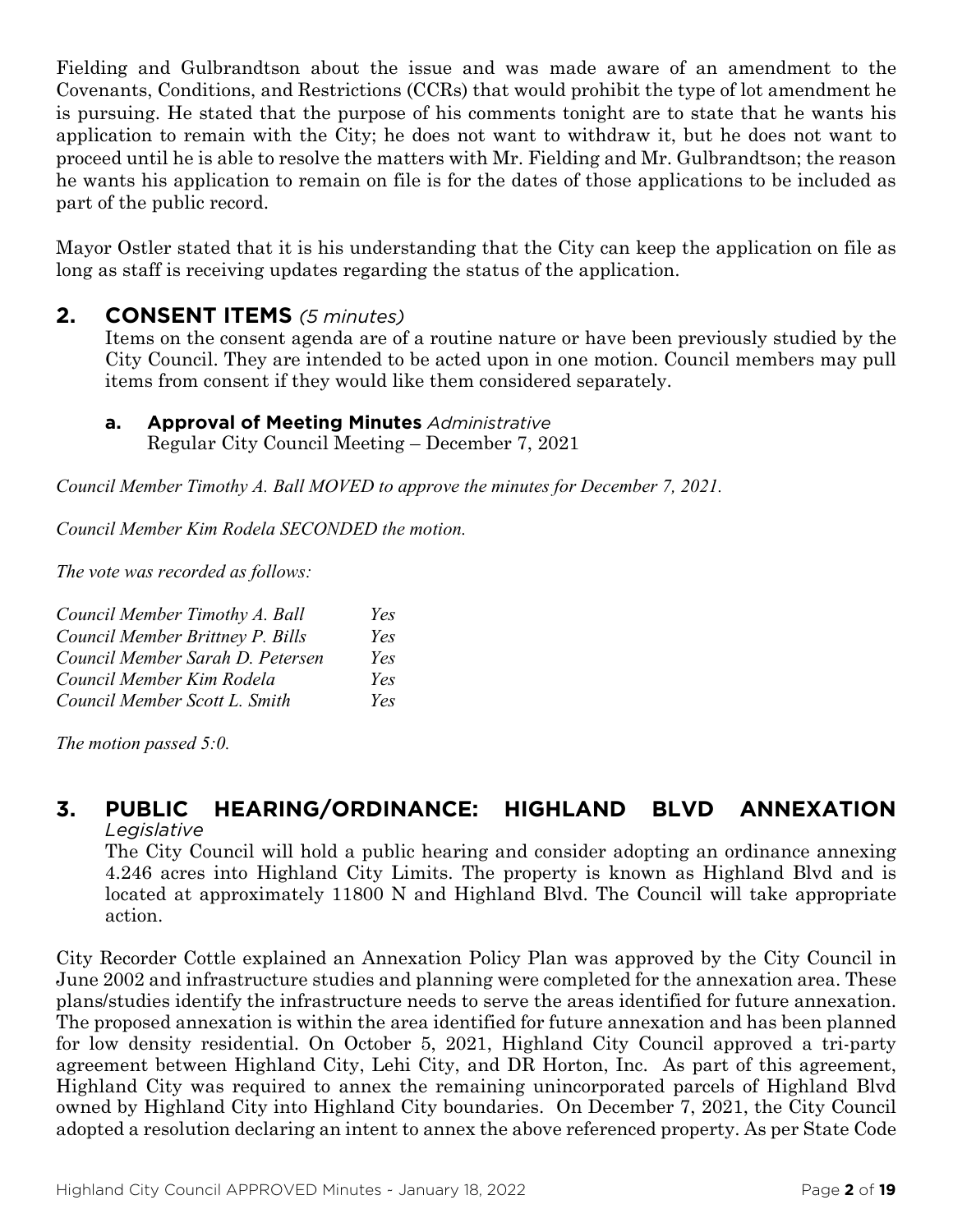Fielding and Gulbrandtson about the issue and was made aware of an amendment to the Covenants, Conditions, and Restrictions (CCRs) that would prohibit the type of lot amendment he is pursuing. He stated that the purpose of his comments tonight are to state that he wants his application to remain with the City; he does not want to withdraw it, but he does not want to proceed until he is able to resolve the matters with Mr. Fielding and Mr. Gulbrandtson; the reason he wants his application to remain on file is for the dates of those applications to be included as part of the public record.

Mayor Ostler stated that it is his understanding that the City can keep the application on file as long as staff is receiving updates regarding the status of the application.

## **2. CONSENT ITEMS** *(5 minutes)*

Items on the consent agenda are of a routine nature or have been previously studied by the City Council. They are intended to be acted upon in one motion. Council members may pull items from consent if they would like them considered separately.

**a. Approval of Meeting Minutes** *Administrative* Regular City Council Meeting – December 7, 2021

*Council Member Timothy A. Ball MOVED to approve the minutes for December 7, 2021.*

*Council Member Kim Rodela SECONDED the motion.*

*The vote was recorded as follows:*

| Council Member Timothy A. Ball   | Yes |
|----------------------------------|-----|
| Council Member Brittney P. Bills | Yes |
| Council Member Sarah D. Petersen | Yes |
| Council Member Kim Rodela        | Yes |
| Council Member Scott L. Smith    | Yes |

*The motion passed 5:0.* 

#### **3. PUBLIC HEARING/ORDINANCE: HIGHLAND BLVD ANNEXATION** *Legislative*

The City Council will hold a public hearing and consider adopting an ordinance annexing 4.246 acres into Highland City Limits. The property is known as Highland Blvd and is located at approximately 11800 N and Highland Blvd. The Council will take appropriate action.

City Recorder Cottle explained an Annexation Policy Plan was approved by the City Council in June 2002 and infrastructure studies and planning were completed for the annexation area. These plans/studies identify the infrastructure needs to serve the areas identified for future annexation. The proposed annexation is within the area identified for future annexation and has been planned for low density residential. On October 5, 2021, Highland City Council approved a tri-party agreement between Highland City, Lehi City, and DR Horton, Inc. As part of this agreement, Highland City was required to annex the remaining unincorporated parcels of Highland Blvd owned by Highland City into Highland City boundaries. On December 7, 2021, the City Council adopted a resolution declaring an intent to annex the above referenced property. As per State Code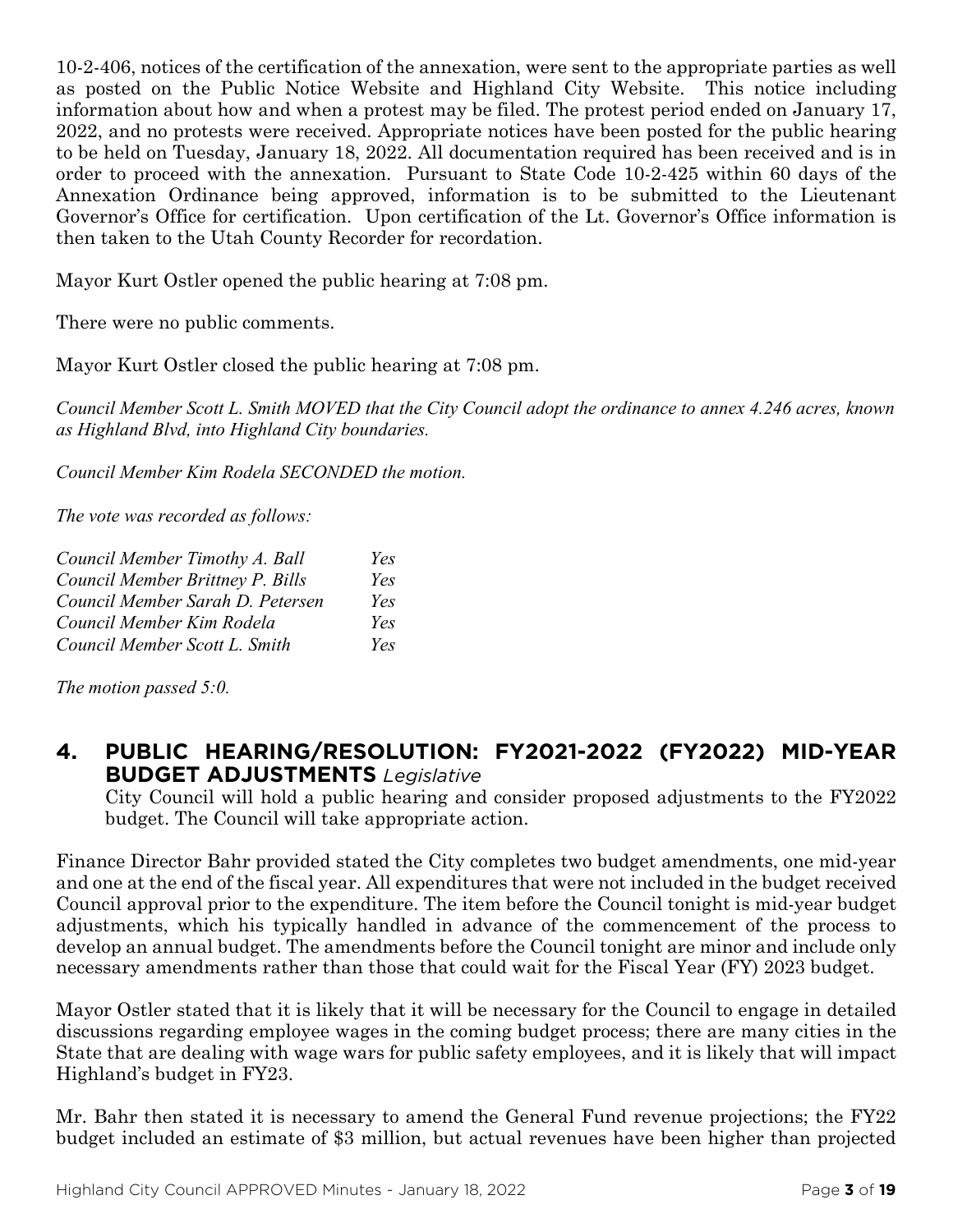10-2-406, notices of the certification of the annexation, were sent to the appropriate parties as well as posted on the Public Notice Website and Highland City Website. This notice including information about how and when a protest may be filed. The protest period ended on January 17, 2022, and no protests were received. Appropriate notices have been posted for the public hearing to be held on Tuesday, January 18, 2022. All documentation required has been received and is in order to proceed with the annexation. Pursuant to State Code 10-2-425 within 60 days of the Annexation Ordinance being approved, information is to be submitted to the Lieutenant Governor's Office for certification. Upon certification of the Lt. Governor's Office information is then taken to the Utah County Recorder for recordation.

Mayor Kurt Ostler opened the public hearing at 7:08 pm.

There were no public comments.

Mayor Kurt Ostler closed the public hearing at 7:08 pm.

*Council Member Scott L. Smith MOVED that the City Council adopt the ordinance to annex 4.246 acres, known as Highland Blvd, into Highland City boundaries.*

*Council Member Kim Rodela SECONDED the motion.*

*The vote was recorded as follows:*

| Council Member Timothy A. Ball   | Yes        |
|----------------------------------|------------|
| Council Member Brittney P. Bills | Yes        |
| Council Member Sarah D. Petersen | Yes        |
| Council Member Kim Rodela        | Yes        |
| Council Member Scott L. Smith    | <i>Yes</i> |

*The motion passed 5:0.* 

# **4. PUBLIC HEARING/RESOLUTION: FY2021-2022 (FY2022) MID-YEAR BUDGET ADJUSTMENTS** *Legislative*

City Council will hold a public hearing and consider proposed adjustments to the FY2022 budget. The Council will take appropriate action.

Finance Director Bahr provided stated the City completes two budget amendments, one mid-year and one at the end of the fiscal year. All expenditures that were not included in the budget received Council approval prior to the expenditure. The item before the Council tonight is mid-year budget adjustments, which his typically handled in advance of the commencement of the process to develop an annual budget. The amendments before the Council tonight are minor and include only necessary amendments rather than those that could wait for the Fiscal Year (FY) 2023 budget.

Mayor Ostler stated that it is likely that it will be necessary for the Council to engage in detailed discussions regarding employee wages in the coming budget process; there are many cities in the State that are dealing with wage wars for public safety employees, and it is likely that will impact Highland's budget in FY23.

Mr. Bahr then stated it is necessary to amend the General Fund revenue projections; the FY22 budget included an estimate of \$3 million, but actual revenues have been higher than projected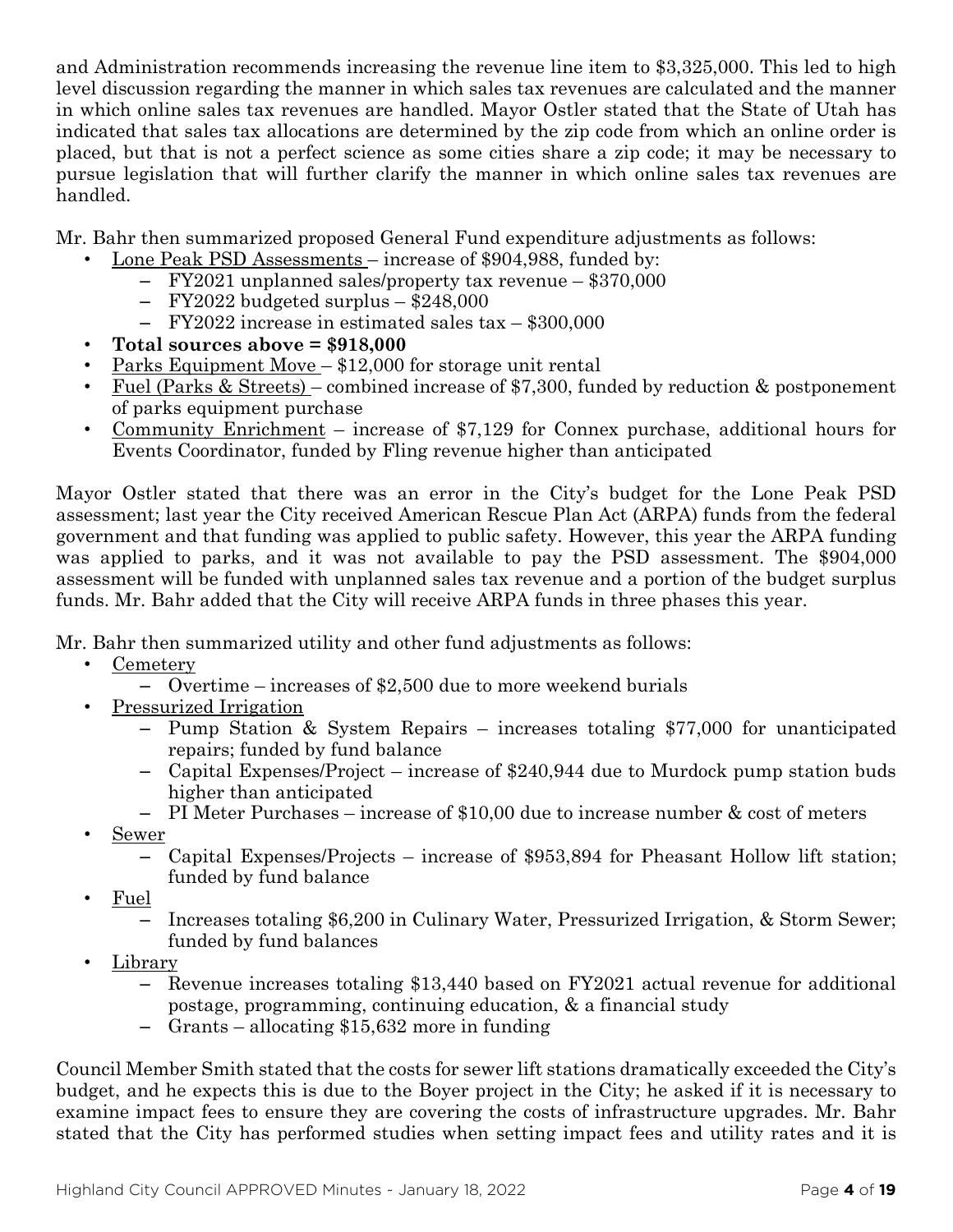and Administration recommends increasing the revenue line item to \$3,325,000. This led to high level discussion regarding the manner in which sales tax revenues are calculated and the manner in which online sales tax revenues are handled. Mayor Ostler stated that the State of Utah has indicated that sales tax allocations are determined by the zip code from which an online order is placed, but that is not a perfect science as some cities share a zip code; it may be necessary to pursue legislation that will further clarify the manner in which online sales tax revenues are handled.

Mr. Bahr then summarized proposed General Fund expenditure adjustments as follows:

- Lone Peak PSD Assessments increase of \$904,988, funded by:
	- FY2021 unplanned sales/property tax revenue \$370,000
	- FY2022 budgeted surplus \$248,000
	- FY2022 increase in estimated sales tax \$300,000
- **Total sources above = \$918,000**
- Parks Equipment Move \$12,000 for storage unit rental
- Fuel (Parks & Streets) combined increase of \$7,300, funded by reduction & postponement of parks equipment purchase
- Community Enrichment increase of \$7,129 for Connex purchase, additional hours for Events Coordinator, funded by Fling revenue higher than anticipated

Mayor Ostler stated that there was an error in the City's budget for the Lone Peak PSD assessment; last year the City received American Rescue Plan Act (ARPA) funds from the federal government and that funding was applied to public safety. However, this year the ARPA funding was applied to parks, and it was not available to pay the PSD assessment. The \$904,000 assessment will be funded with unplanned sales tax revenue and a portion of the budget surplus funds. Mr. Bahr added that the City will receive ARPA funds in three phases this year.

Mr. Bahr then summarized utility and other fund adjustments as follows:

- Cemetery
	- Overtime increases of \$2,500 due to more weekend burials
	- Pressurized Irrigation
		- Pump Station & System Repairs increases totaling \$77,000 for unanticipated repairs; funded by fund balance
		- Capital Expenses/Project increase of \$240,944 due to Murdock pump station buds higher than anticipated
		- PI Meter Purchases increase of \$10,00 due to increase number & cost of meters
- Sewer
	- Capital Expenses/Projects increase of \$953,894 for Pheasant Hollow lift station; funded by fund balance
- Fuel
	- Increases totaling \$6,200 in Culinary Water, Pressurized Irrigation, & Storm Sewer; funded by fund balances
- Library
	- Revenue increases totaling \$13,440 based on FY2021 actual revenue for additional postage, programming, continuing education, & a financial study
	- Grants allocating \$15,632 more in funding

Council Member Smith stated that the costs for sewer lift stations dramatically exceeded the City's budget, and he expects this is due to the Boyer project in the City; he asked if it is necessary to examine impact fees to ensure they are covering the costs of infrastructure upgrades. Mr. Bahr stated that the City has performed studies when setting impact fees and utility rates and it is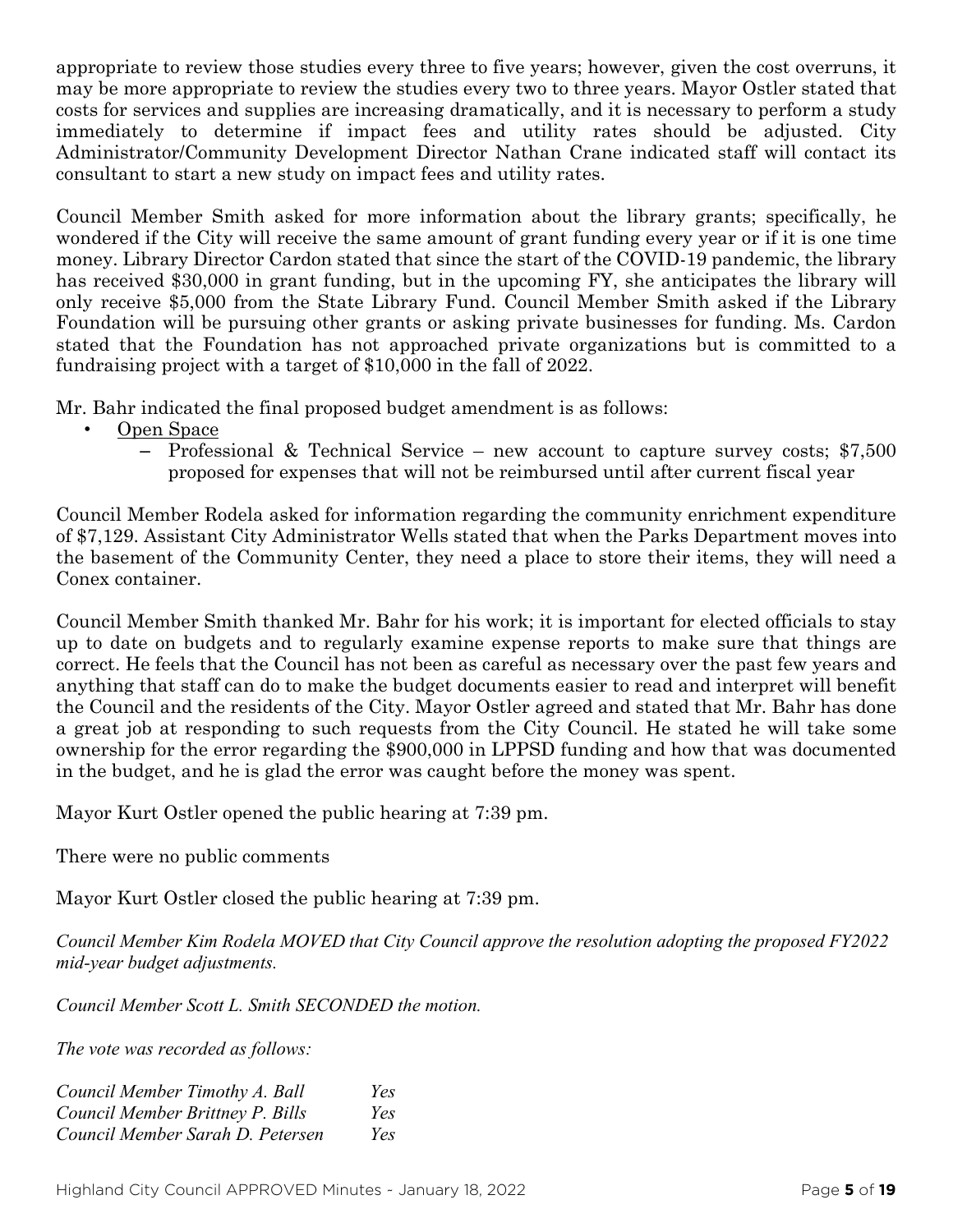appropriate to review those studies every three to five years; however, given the cost overruns, it may be more appropriate to review the studies every two to three years. Mayor Ostler stated that costs for services and supplies are increasing dramatically, and it is necessary to perform a study immediately to determine if impact fees and utility rates should be adjusted. City Administrator/Community Development Director Nathan Crane indicated staff will contact its consultant to start a new study on impact fees and utility rates.

Council Member Smith asked for more information about the library grants; specifically, he wondered if the City will receive the same amount of grant funding every year or if it is one time money. Library Director Cardon stated that since the start of the COVID-19 pandemic, the library has received \$30,000 in grant funding, but in the upcoming FY, she anticipates the library will only receive \$5,000 from the State Library Fund. Council Member Smith asked if the Library Foundation will be pursuing other grants or asking private businesses for funding. Ms. Cardon stated that the Foundation has not approached private organizations but is committed to a fundraising project with a target of \$10,000 in the fall of 2022.

Mr. Bahr indicated the final proposed budget amendment is as follows:

- Open Space
	- Professional & Technical Service new account to capture survey costs; \$7,500 proposed for expenses that will not be reimbursed until after current fiscal year

Council Member Rodela asked for information regarding the community enrichment expenditure of \$7,129. Assistant City Administrator Wells stated that when the Parks Department moves into the basement of the Community Center, they need a place to store their items, they will need a Conex container.

Council Member Smith thanked Mr. Bahr for his work; it is important for elected officials to stay up to date on budgets and to regularly examine expense reports to make sure that things are correct. He feels that the Council has not been as careful as necessary over the past few years and anything that staff can do to make the budget documents easier to read and interpret will benefit the Council and the residents of the City. Mayor Ostler agreed and stated that Mr. Bahr has done a great job at responding to such requests from the City Council. He stated he will take some ownership for the error regarding the \$900,000 in LPPSD funding and how that was documented in the budget, and he is glad the error was caught before the money was spent.

Mayor Kurt Ostler opened the public hearing at 7:39 pm.

There were no public comments

Mayor Kurt Ostler closed the public hearing at 7:39 pm.

*Council Member Kim Rodela MOVED that City Council approve the resolution adopting the proposed FY2022 mid-year budget adjustments.*

*Council Member Scott L. Smith SECONDED the motion.*

*The vote was recorded as follows:*

| Council Member Timothy A. Ball   | Yes |
|----------------------------------|-----|
| Council Member Brittney P. Bills | Yes |
| Council Member Sarah D. Petersen | Yes |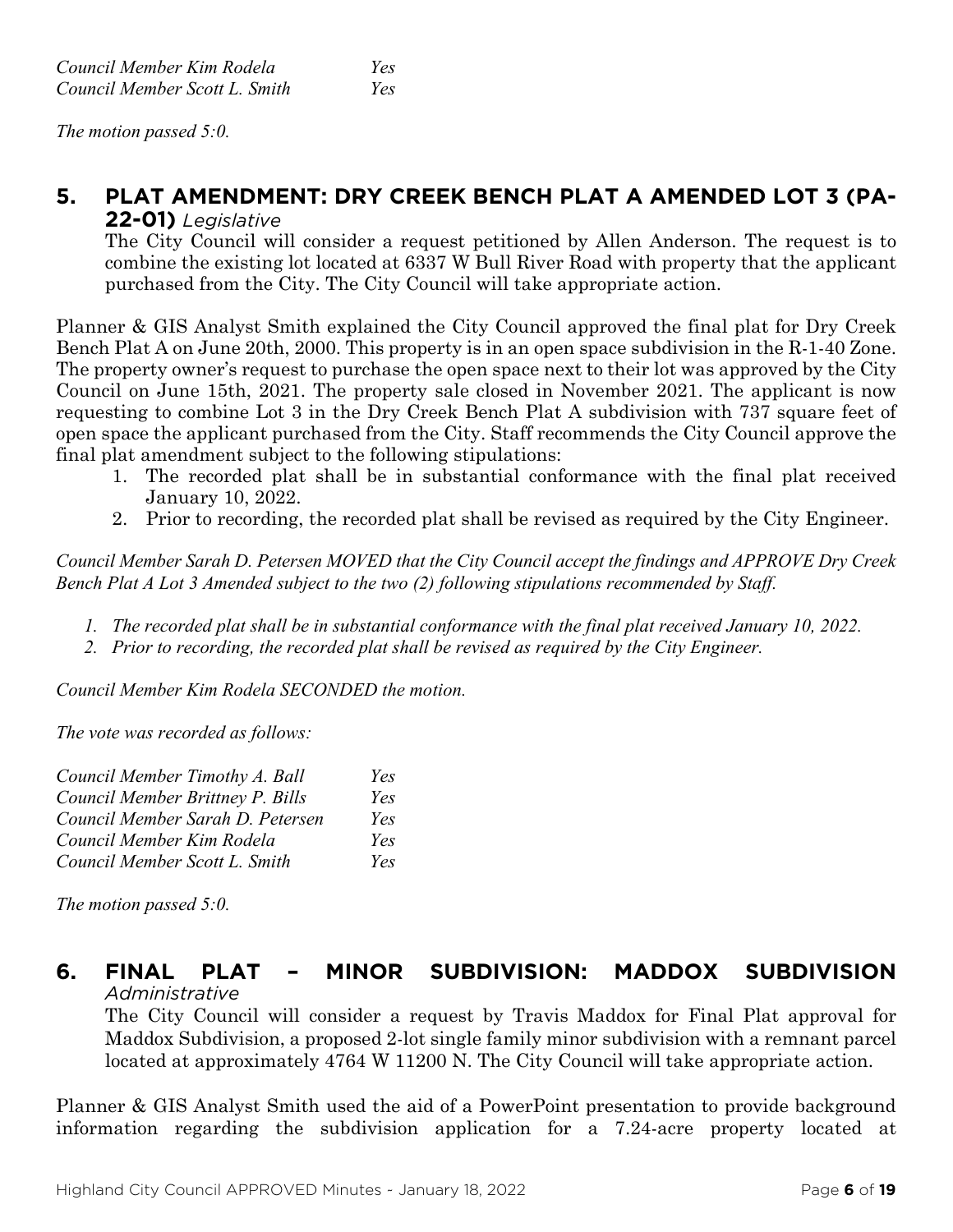*The motion passed 5:0.* 

#### **5. PLAT AMENDMENT: DRY CREEK BENCH PLAT A AMENDED LOT 3 (PA-22-01)** *Legislative*

The City Council will consider a request petitioned by Allen Anderson. The request is to combine the existing lot located at 6337 W Bull River Road with property that the applicant purchased from the City. The City Council will take appropriate action.

Planner & GIS Analyst Smith explained the City Council approved the final plat for Dry Creek Bench Plat A on June 20th, 2000. This property is in an open space subdivision in the R-1-40 Zone. The property owner's request to purchase the open space next to their lot was approved by the City Council on June 15th, 2021. The property sale closed in November 2021. The applicant is now requesting to combine Lot 3 in the Dry Creek Bench Plat A subdivision with 737 square feet of open space the applicant purchased from the City. Staff recommends the City Council approve the final plat amendment subject to the following stipulations:

- 1. The recorded plat shall be in substantial conformance with the final plat received January 10, 2022.
- 2. Prior to recording, the recorded plat shall be revised as required by the City Engineer.

*Council Member Sarah D. Petersen MOVED that the City Council accept the findings and APPROVE Dry Creek Bench Plat A Lot 3 Amended subject to the two (2) following stipulations recommended by Staff.*

- *1. The recorded plat shall be in substantial conformance with the final plat received January 10, 2022.*
- *2. Prior to recording, the recorded plat shall be revised as required by the City Engineer.*

*Council Member Kim Rodela SECONDED the motion.*

*The vote was recorded as follows:*

| Council Member Timothy A. Ball   | Yes |
|----------------------------------|-----|
| Council Member Brittney P. Bills | Yes |
| Council Member Sarah D. Petersen | Yes |
| Council Member Kim Rodela        | Yes |
| Council Member Scott L. Smith    | Yes |

*The motion passed 5:0.* 

## **6. FINAL PLAT – MINOR SUBDIVISION: MADDOX SUBDIVISION** *Administrative*

The City Council will consider a request by Travis Maddox for Final Plat approval for Maddox Subdivision, a proposed 2-lot single family minor subdivision with a remnant parcel located at approximately 4764 W 11200 N. The City Council will take appropriate action.

Planner & GIS Analyst Smith used the aid of a PowerPoint presentation to provide background information regarding the subdivision application for a 7.24-acre property located at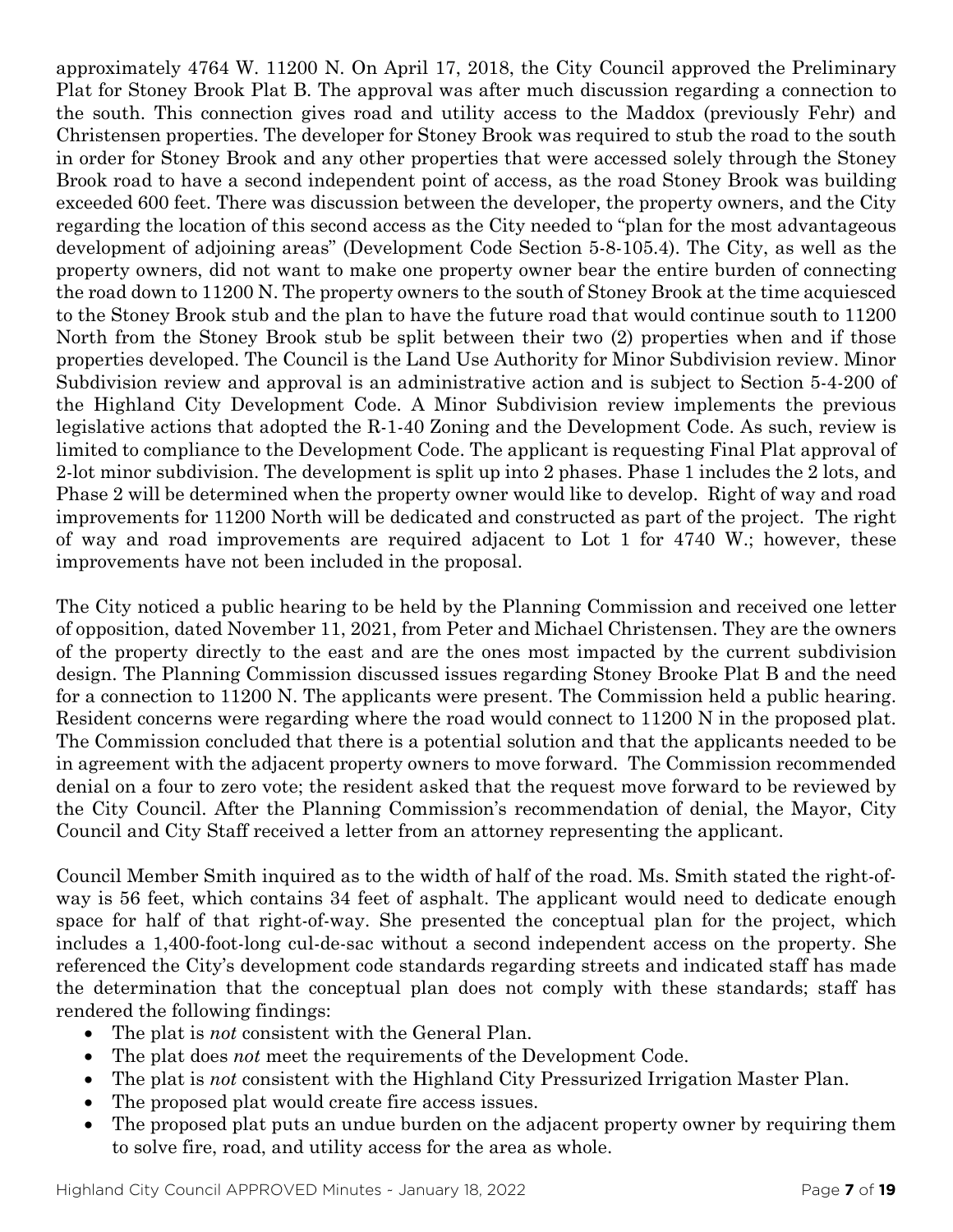approximately 4764 W. 11200 N. On April 17, 2018, the City Council approved the Preliminary Plat for Stoney Brook Plat B. The approval was after much discussion regarding a connection to the south. This connection gives road and utility access to the Maddox (previously Fehr) and Christensen properties. The developer for Stoney Brook was required to stub the road to the south in order for Stoney Brook and any other properties that were accessed solely through the Stoney Brook road to have a second independent point of access, as the road Stoney Brook was building exceeded 600 feet. There was discussion between the developer, the property owners, and the City regarding the location of this second access as the City needed to "plan for the most advantageous development of adjoining areas" (Development Code Section 5-8-105.4). The City, as well as the property owners, did not want to make one property owner bear the entire burden of connecting the road down to 11200 N. The property owners to the south of Stoney Brook at the time acquiesced to the Stoney Brook stub and the plan to have the future road that would continue south to 11200 North from the Stoney Brook stub be split between their two (2) properties when and if those properties developed. The Council is the Land Use Authority for Minor Subdivision review. Minor Subdivision review and approval is an administrative action and is subject to Section 5-4-200 of the Highland City Development Code. A Minor Subdivision review implements the previous legislative actions that adopted the R-1-40 Zoning and the Development Code. As such, review is limited to compliance to the Development Code. The applicant is requesting Final Plat approval of 2-lot minor subdivision. The development is split up into 2 phases. Phase 1 includes the 2 lots, and Phase 2 will be determined when the property owner would like to develop. Right of way and road improvements for 11200 North will be dedicated and constructed as part of the project. The right of way and road improvements are required adjacent to Lot 1 for 4740 W.; however, these improvements have not been included in the proposal.

The City noticed a public hearing to be held by the Planning Commission and received one letter of opposition, dated November 11, 2021, from Peter and Michael Christensen. They are the owners of the property directly to the east and are the ones most impacted by the current subdivision design. The Planning Commission discussed issues regarding Stoney Brooke Plat B and the need for a connection to 11200 N. The applicants were present. The Commission held a public hearing. Resident concerns were regarding where the road would connect to 11200 N in the proposed plat. The Commission concluded that there is a potential solution and that the applicants needed to be in agreement with the adjacent property owners to move forward. The Commission recommended denial on a four to zero vote; the resident asked that the request move forward to be reviewed by the City Council. After the Planning Commission's recommendation of denial, the Mayor, City Council and City Staff received a letter from an attorney representing the applicant.

Council Member Smith inquired as to the width of half of the road. Ms. Smith stated the right-ofway is 56 feet, which contains 34 feet of asphalt. The applicant would need to dedicate enough space for half of that right-of-way. She presented the conceptual plan for the project, which includes a 1,400-foot-long cul-de-sac without a second independent access on the property. She referenced the City's development code standards regarding streets and indicated staff has made the determination that the conceptual plan does not comply with these standards; staff has rendered the following findings:

- The plat is *not* consistent with the General Plan.
- The plat does *not* meet the requirements of the Development Code.
- The plat is *not* consistent with the Highland City Pressurized Irrigation Master Plan.
- The proposed plat would create fire access issues.
- The proposed plat puts an undue burden on the adjacent property owner by requiring them to solve fire, road, and utility access for the area as whole.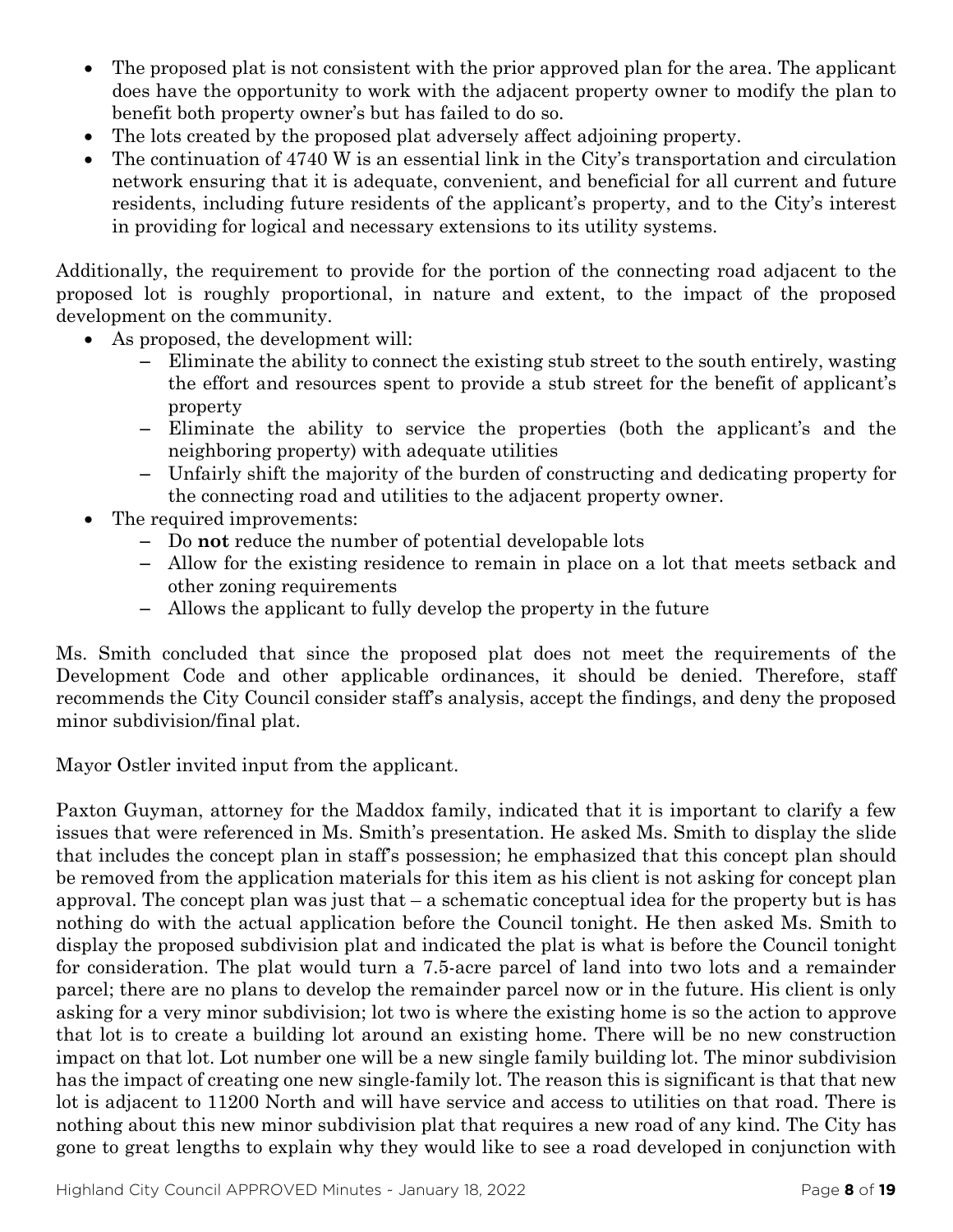- The proposed plat is not consistent with the prior approved plan for the area. The applicant does have the opportunity to work with the adjacent property owner to modify the plan to benefit both property owner's but has failed to do so.
- The lots created by the proposed plat adversely affect adjoining property.
- The continuation of 4740 W is an essential link in the City's transportation and circulation network ensuring that it is adequate, convenient, and beneficial for all current and future residents, including future residents of the applicant's property, and to the City's interest in providing for logical and necessary extensions to its utility systems.

Additionally, the requirement to provide for the portion of the connecting road adjacent to the proposed lot is roughly proportional, in nature and extent, to the impact of the proposed development on the community.

- As proposed, the development will:
	- Eliminate the ability to connect the existing stub street to the south entirely, wasting the effort and resources spent to provide a stub street for the benefit of applicant's property
	- Eliminate the ability to service the properties (both the applicant's and the neighboring property) with adequate utilities
	- Unfairly shift the majority of the burden of constructing and dedicating property for the connecting road and utilities to the adjacent property owner.
- The required improvements:
	- Do **not** reduce the number of potential developable lots
	- Allow for the existing residence to remain in place on a lot that meets setback and other zoning requirements
	- Allows the applicant to fully develop the property in the future

Ms. Smith concluded that since the proposed plat does not meet the requirements of the Development Code and other applicable ordinances, it should be denied. Therefore, staff recommends the City Council consider staff's analysis, accept the findings, and deny the proposed minor subdivision/final plat.

Mayor Ostler invited input from the applicant.

Paxton Guyman, attorney for the Maddox family, indicated that it is important to clarify a few issues that were referenced in Ms. Smith's presentation. He asked Ms. Smith to display the slide that includes the concept plan in staff's possession; he emphasized that this concept plan should be removed from the application materials for this item as his client is not asking for concept plan approval. The concept plan was just that – a schematic conceptual idea for the property but is has nothing do with the actual application before the Council tonight. He then asked Ms. Smith to display the proposed subdivision plat and indicated the plat is what is before the Council tonight for consideration. The plat would turn a 7.5-acre parcel of land into two lots and a remainder parcel; there are no plans to develop the remainder parcel now or in the future. His client is only asking for a very minor subdivision; lot two is where the existing home is so the action to approve that lot is to create a building lot around an existing home. There will be no new construction impact on that lot. Lot number one will be a new single family building lot. The minor subdivision has the impact of creating one new single-family lot. The reason this is significant is that that new lot is adjacent to 11200 North and will have service and access to utilities on that road. There is nothing about this new minor subdivision plat that requires a new road of any kind. The City has gone to great lengths to explain why they would like to see a road developed in conjunction with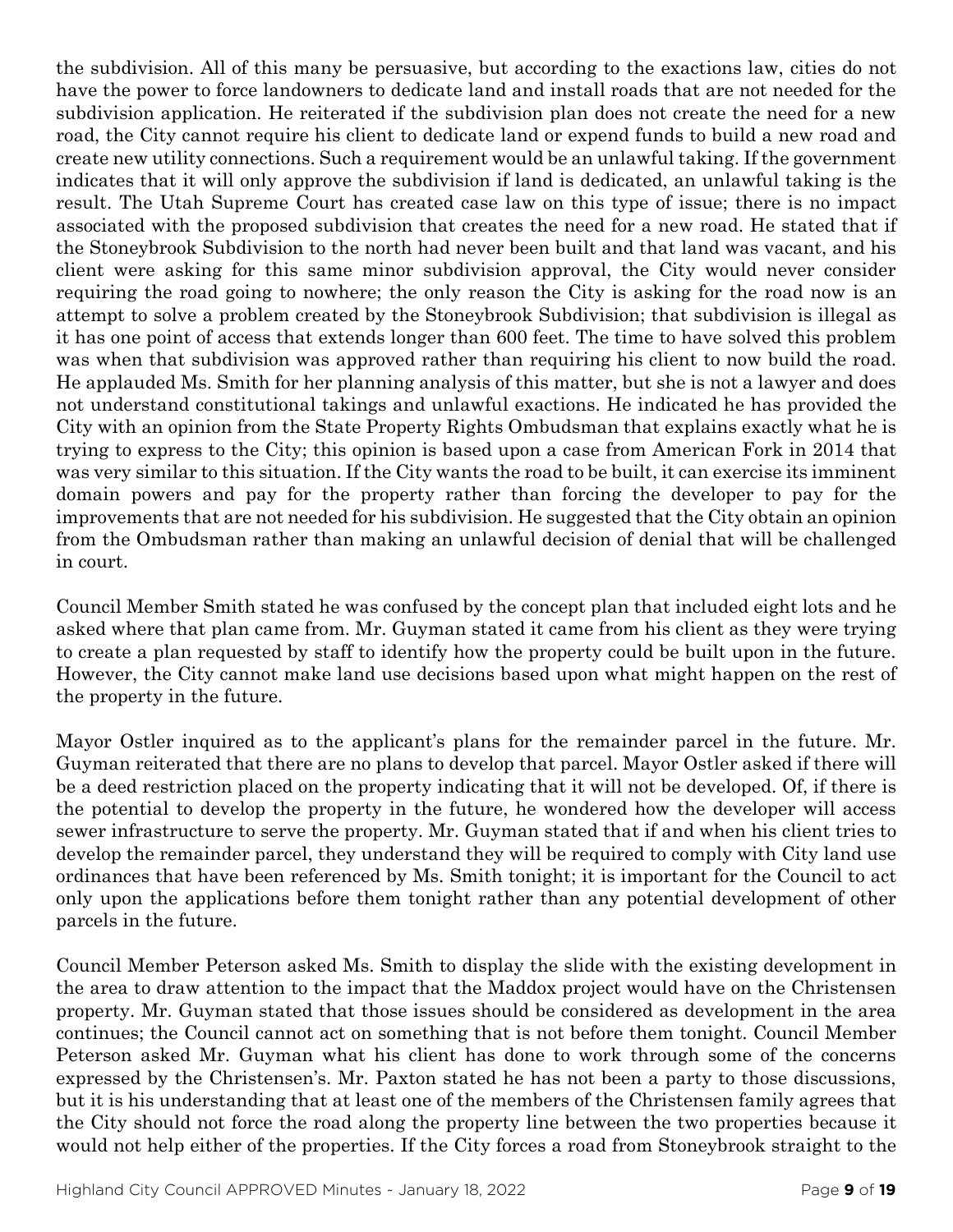the subdivision. All of this many be persuasive, but according to the exactions law, cities do not have the power to force landowners to dedicate land and install roads that are not needed for the subdivision application. He reiterated if the subdivision plan does not create the need for a new road, the City cannot require his client to dedicate land or expend funds to build a new road and create new utility connections. Such a requirement would be an unlawful taking. If the government indicates that it will only approve the subdivision if land is dedicated, an unlawful taking is the result. The Utah Supreme Court has created case law on this type of issue; there is no impact associated with the proposed subdivision that creates the need for a new road. He stated that if the Stoneybrook Subdivision to the north had never been built and that land was vacant, and his client were asking for this same minor subdivision approval, the City would never consider requiring the road going to nowhere; the only reason the City is asking for the road now is an attempt to solve a problem created by the Stoneybrook Subdivision; that subdivision is illegal as it has one point of access that extends longer than 600 feet. The time to have solved this problem was when that subdivision was approved rather than requiring his client to now build the road. He applauded Ms. Smith for her planning analysis of this matter, but she is not a lawyer and does not understand constitutional takings and unlawful exactions. He indicated he has provided the City with an opinion from the State Property Rights Ombudsman that explains exactly what he is trying to express to the City; this opinion is based upon a case from American Fork in 2014 that was very similar to this situation. If the City wants the road to be built, it can exercise its imminent domain powers and pay for the property rather than forcing the developer to pay for the improvements that are not needed for his subdivision. He suggested that the City obtain an opinion from the Ombudsman rather than making an unlawful decision of denial that will be challenged in court.

Council Member Smith stated he was confused by the concept plan that included eight lots and he asked where that plan came from. Mr. Guyman stated it came from his client as they were trying to create a plan requested by staff to identify how the property could be built upon in the future. However, the City cannot make land use decisions based upon what might happen on the rest of the property in the future.

Mayor Ostler inquired as to the applicant's plans for the remainder parcel in the future. Mr. Guyman reiterated that there are no plans to develop that parcel. Mayor Ostler asked if there will be a deed restriction placed on the property indicating that it will not be developed. Of, if there is the potential to develop the property in the future, he wondered how the developer will access sewer infrastructure to serve the property. Mr. Guyman stated that if and when his client tries to develop the remainder parcel, they understand they will be required to comply with City land use ordinances that have been referenced by Ms. Smith tonight; it is important for the Council to act only upon the applications before them tonight rather than any potential development of other parcels in the future.

Council Member Peterson asked Ms. Smith to display the slide with the existing development in the area to draw attention to the impact that the Maddox project would have on the Christensen property. Mr. Guyman stated that those issues should be considered as development in the area continues; the Council cannot act on something that is not before them tonight. Council Member Peterson asked Mr. Guyman what his client has done to work through some of the concerns expressed by the Christensen's. Mr. Paxton stated he has not been a party to those discussions, but it is his understanding that at least one of the members of the Christensen family agrees that the City should not force the road along the property line between the two properties because it would not help either of the properties. If the City forces a road from Stoneybrook straight to the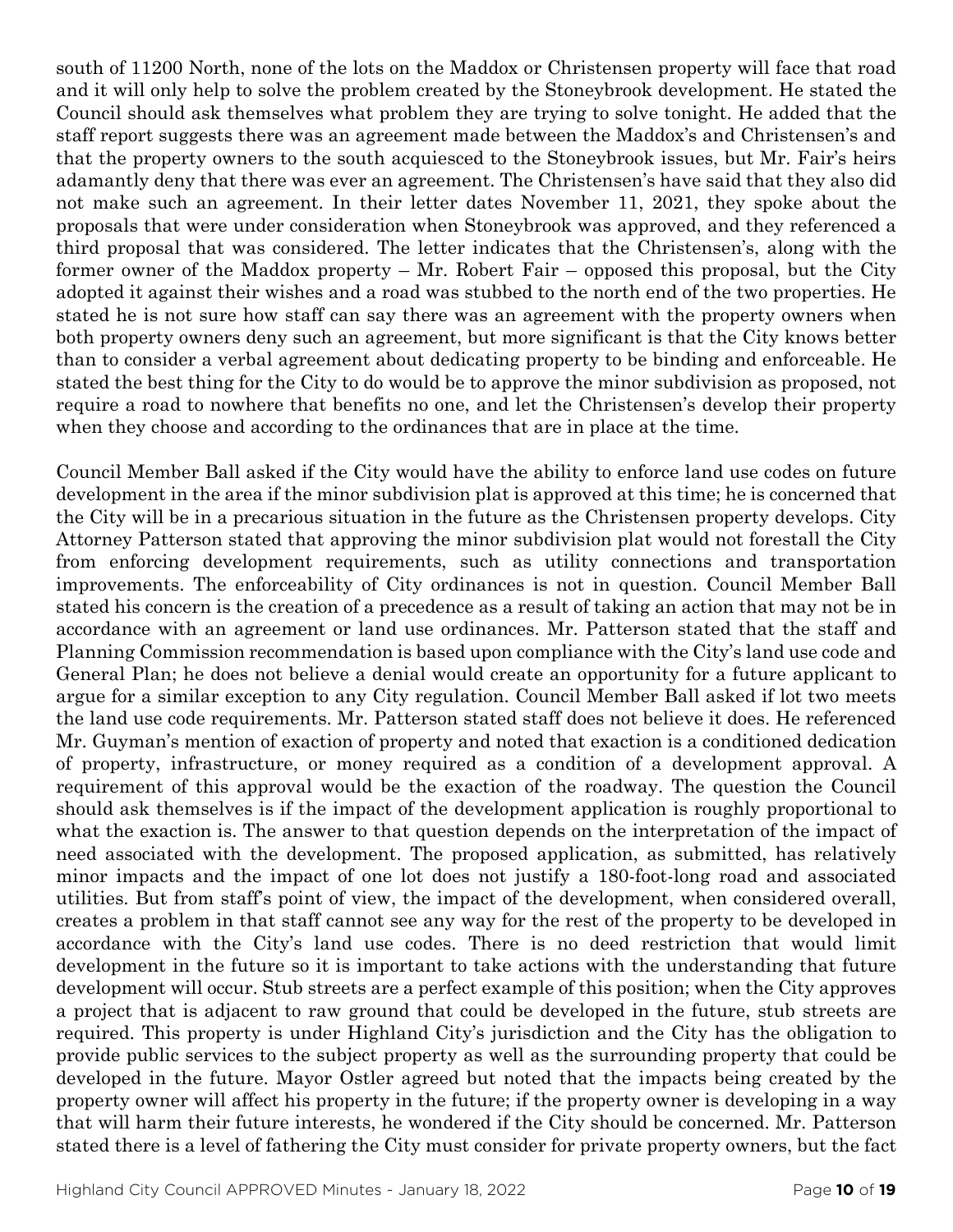south of 11200 North, none of the lots on the Maddox or Christensen property will face that road and it will only help to solve the problem created by the Stoneybrook development. He stated the Council should ask themselves what problem they are trying to solve tonight. He added that the staff report suggests there was an agreement made between the Maddox's and Christensen's and that the property owners to the south acquiesced to the Stoneybrook issues, but Mr. Fair's heirs adamantly deny that there was ever an agreement. The Christensen's have said that they also did not make such an agreement. In their letter dates November 11, 2021, they spoke about the proposals that were under consideration when Stoneybrook was approved, and they referenced a third proposal that was considered. The letter indicates that the Christensen's, along with the former owner of the Maddox property – Mr. Robert Fair – opposed this proposal, but the City adopted it against their wishes and a road was stubbed to the north end of the two properties. He stated he is not sure how staff can say there was an agreement with the property owners when both property owners deny such an agreement, but more significant is that the City knows better than to consider a verbal agreement about dedicating property to be binding and enforceable. He stated the best thing for the City to do would be to approve the minor subdivision as proposed, not require a road to nowhere that benefits no one, and let the Christensen's develop their property when they choose and according to the ordinances that are in place at the time.

Council Member Ball asked if the City would have the ability to enforce land use codes on future development in the area if the minor subdivision plat is approved at this time; he is concerned that the City will be in a precarious situation in the future as the Christensen property develops. City Attorney Patterson stated that approving the minor subdivision plat would not forestall the City from enforcing development requirements, such as utility connections and transportation improvements. The enforceability of City ordinances is not in question. Council Member Ball stated his concern is the creation of a precedence as a result of taking an action that may not be in accordance with an agreement or land use ordinances. Mr. Patterson stated that the staff and Planning Commission recommendation is based upon compliance with the City's land use code and General Plan; he does not believe a denial would create an opportunity for a future applicant to argue for a similar exception to any City regulation. Council Member Ball asked if lot two meets the land use code requirements. Mr. Patterson stated staff does not believe it does. He referenced Mr. Guyman's mention of exaction of property and noted that exaction is a conditioned dedication of property, infrastructure, or money required as a condition of a development approval. A requirement of this approval would be the exaction of the roadway. The question the Council should ask themselves is if the impact of the development application is roughly proportional to what the exaction is. The answer to that question depends on the interpretation of the impact of need associated with the development. The proposed application, as submitted, has relatively minor impacts and the impact of one lot does not justify a 180-foot-long road and associated utilities. But from staff's point of view, the impact of the development, when considered overall, creates a problem in that staff cannot see any way for the rest of the property to be developed in accordance with the City's land use codes. There is no deed restriction that would limit development in the future so it is important to take actions with the understanding that future development will occur. Stub streets are a perfect example of this position; when the City approves a project that is adjacent to raw ground that could be developed in the future, stub streets are required. This property is under Highland City's jurisdiction and the City has the obligation to provide public services to the subject property as well as the surrounding property that could be developed in the future. Mayor Ostler agreed but noted that the impacts being created by the property owner will affect his property in the future; if the property owner is developing in a way that will harm their future interests, he wondered if the City should be concerned. Mr. Patterson stated there is a level of fathering the City must consider for private property owners, but the fact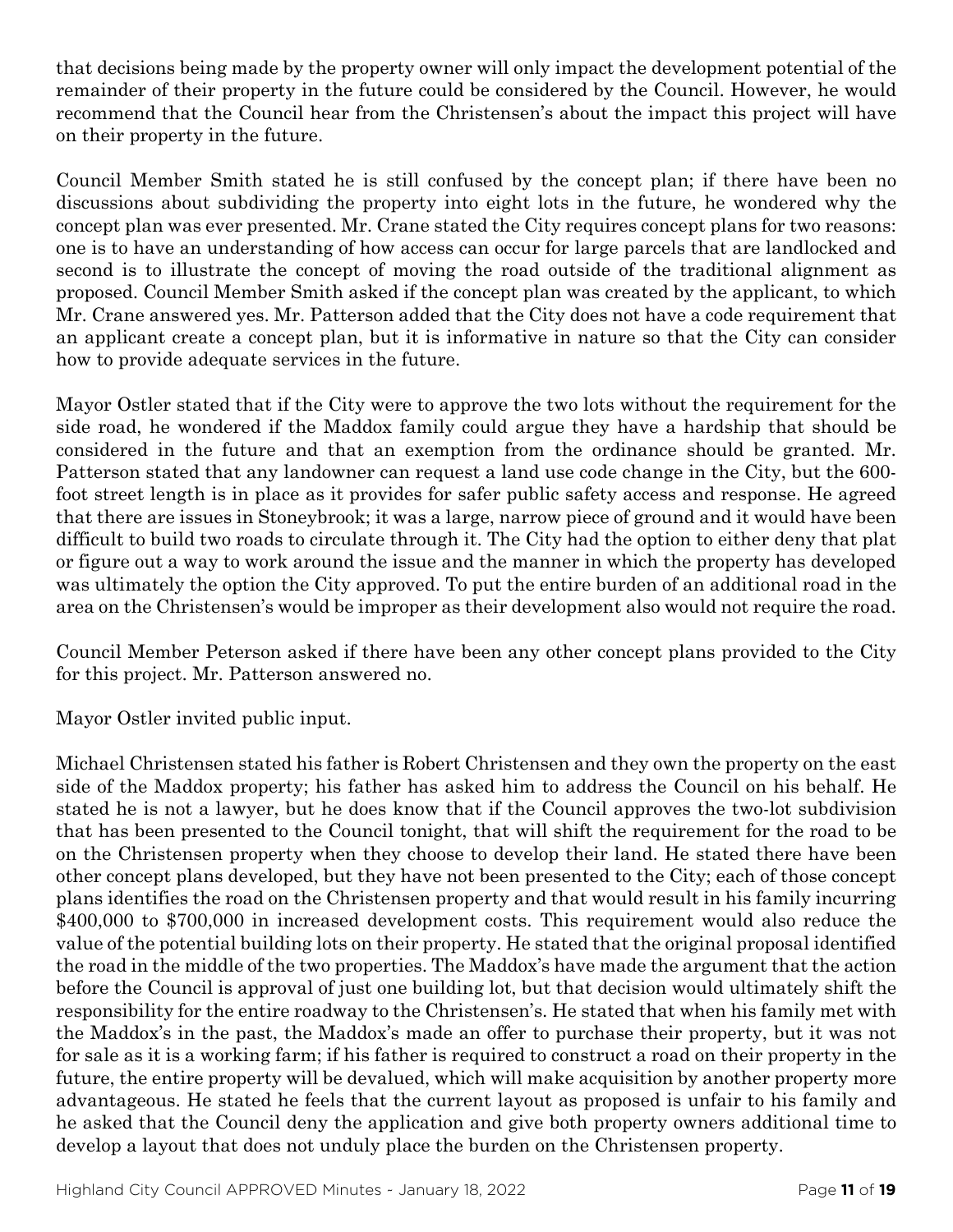that decisions being made by the property owner will only impact the development potential of the remainder of their property in the future could be considered by the Council. However, he would recommend that the Council hear from the Christensen's about the impact this project will have on their property in the future.

Council Member Smith stated he is still confused by the concept plan; if there have been no discussions about subdividing the property into eight lots in the future, he wondered why the concept plan was ever presented. Mr. Crane stated the City requires concept plans for two reasons: one is to have an understanding of how access can occur for large parcels that are landlocked and second is to illustrate the concept of moving the road outside of the traditional alignment as proposed. Council Member Smith asked if the concept plan was created by the applicant, to which Mr. Crane answered yes. Mr. Patterson added that the City does not have a code requirement that an applicant create a concept plan, but it is informative in nature so that the City can consider how to provide adequate services in the future.

Mayor Ostler stated that if the City were to approve the two lots without the requirement for the side road, he wondered if the Maddox family could argue they have a hardship that should be considered in the future and that an exemption from the ordinance should be granted. Mr. Patterson stated that any landowner can request a land use code change in the City, but the 600 foot street length is in place as it provides for safer public safety access and response. He agreed that there are issues in Stoneybrook; it was a large, narrow piece of ground and it would have been difficult to build two roads to circulate through it. The City had the option to either deny that plat or figure out a way to work around the issue and the manner in which the property has developed was ultimately the option the City approved. To put the entire burden of an additional road in the area on the Christensen's would be improper as their development also would not require the road.

Council Member Peterson asked if there have been any other concept plans provided to the City for this project. Mr. Patterson answered no.

Mayor Ostler invited public input.

Michael Christensen stated his father is Robert Christensen and they own the property on the east side of the Maddox property; his father has asked him to address the Council on his behalf. He stated he is not a lawyer, but he does know that if the Council approves the two-lot subdivision that has been presented to the Council tonight, that will shift the requirement for the road to be on the Christensen property when they choose to develop their land. He stated there have been other concept plans developed, but they have not been presented to the City; each of those concept plans identifies the road on the Christensen property and that would result in his family incurring \$400,000 to \$700,000 in increased development costs. This requirement would also reduce the value of the potential building lots on their property. He stated that the original proposal identified the road in the middle of the two properties. The Maddox's have made the argument that the action before the Council is approval of just one building lot, but that decision would ultimately shift the responsibility for the entire roadway to the Christensen's. He stated that when his family met with the Maddox's in the past, the Maddox's made an offer to purchase their property, but it was not for sale as it is a working farm; if his father is required to construct a road on their property in the future, the entire property will be devalued, which will make acquisition by another property more advantageous. He stated he feels that the current layout as proposed is unfair to his family and he asked that the Council deny the application and give both property owners additional time to develop a layout that does not unduly place the burden on the Christensen property.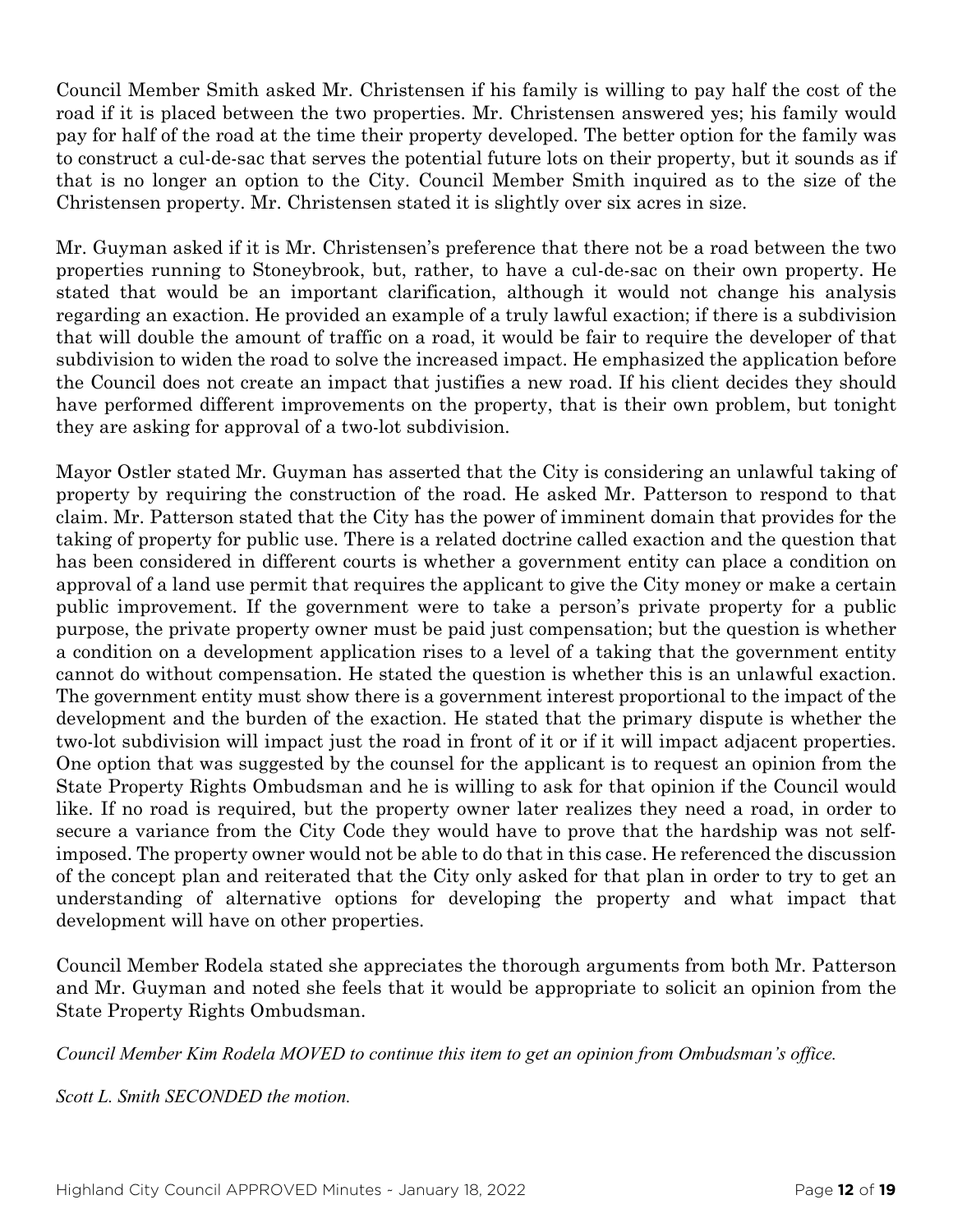Council Member Smith asked Mr. Christensen if his family is willing to pay half the cost of the road if it is placed between the two properties. Mr. Christensen answered yes; his family would pay for half of the road at the time their property developed. The better option for the family was to construct a cul-de-sac that serves the potential future lots on their property, but it sounds as if that is no longer an option to the City. Council Member Smith inquired as to the size of the Christensen property. Mr. Christensen stated it is slightly over six acres in size.

Mr. Guyman asked if it is Mr. Christensen's preference that there not be a road between the two properties running to Stoneybrook, but, rather, to have a cul-de-sac on their own property. He stated that would be an important clarification, although it would not change his analysis regarding an exaction. He provided an example of a truly lawful exaction; if there is a subdivision that will double the amount of traffic on a road, it would be fair to require the developer of that subdivision to widen the road to solve the increased impact. He emphasized the application before the Council does not create an impact that justifies a new road. If his client decides they should have performed different improvements on the property, that is their own problem, but tonight they are asking for approval of a two-lot subdivision.

Mayor Ostler stated Mr. Guyman has asserted that the City is considering an unlawful taking of property by requiring the construction of the road. He asked Mr. Patterson to respond to that claim. Mr. Patterson stated that the City has the power of imminent domain that provides for the taking of property for public use. There is a related doctrine called exaction and the question that has been considered in different courts is whether a government entity can place a condition on approval of a land use permit that requires the applicant to give the City money or make a certain public improvement. If the government were to take a person's private property for a public purpose, the private property owner must be paid just compensation; but the question is whether a condition on a development application rises to a level of a taking that the government entity cannot do without compensation. He stated the question is whether this is an unlawful exaction. The government entity must show there is a government interest proportional to the impact of the development and the burden of the exaction. He stated that the primary dispute is whether the two-lot subdivision will impact just the road in front of it or if it will impact adjacent properties. One option that was suggested by the counsel for the applicant is to request an opinion from the State Property Rights Ombudsman and he is willing to ask for that opinion if the Council would like. If no road is required, but the property owner later realizes they need a road, in order to secure a variance from the City Code they would have to prove that the hardship was not selfimposed. The property owner would not be able to do that in this case. He referenced the discussion of the concept plan and reiterated that the City only asked for that plan in order to try to get an understanding of alternative options for developing the property and what impact that development will have on other properties.

Council Member Rodela stated she appreciates the thorough arguments from both Mr. Patterson and Mr. Guyman and noted she feels that it would be appropriate to solicit an opinion from the State Property Rights Ombudsman.

*Council Member Kim Rodela MOVED to continue this item to get an opinion from Ombudsman's office.*

*Scott L. Smith SECONDED the motion.*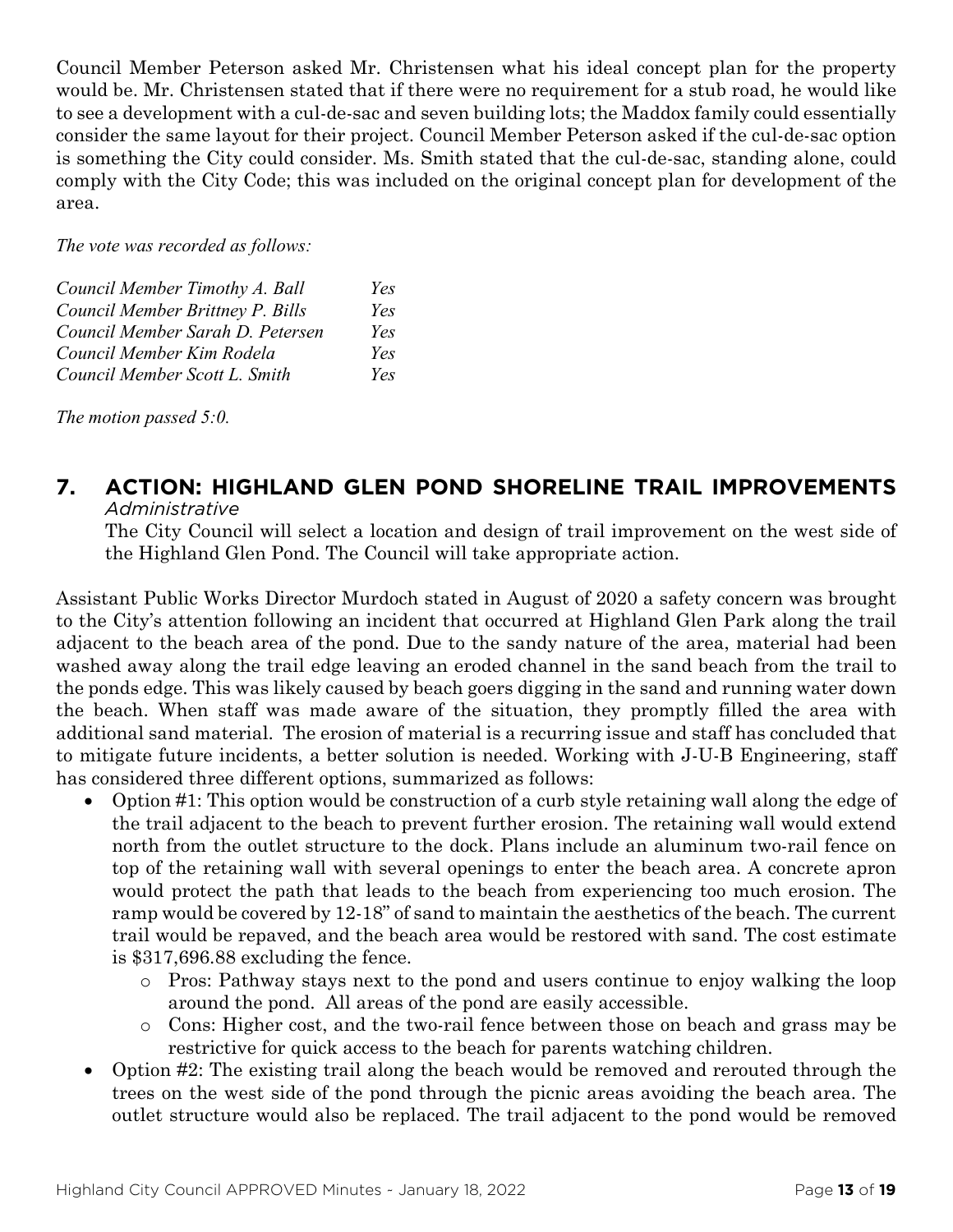Council Member Peterson asked Mr. Christensen what his ideal concept plan for the property would be. Mr. Christensen stated that if there were no requirement for a stub road, he would like to see a development with a cul-de-sac and seven building lots; the Maddox family could essentially consider the same layout for their project. Council Member Peterson asked if the cul-de-sac option is something the City could consider. Ms. Smith stated that the cul-de-sac, standing alone, could comply with the City Code; this was included on the original concept plan for development of the area.

*The vote was recorded as follows:*

| Council Member Timothy A. Ball   | Yes |
|----------------------------------|-----|
| Council Member Brittney P. Bills | Yes |
| Council Member Sarah D. Petersen | Yes |
| Council Member Kim Rodela        | Yes |
| Council Member Scott L. Smith    | Yes |

*The motion passed 5:0.* 

#### **7. ACTION: HIGHLAND GLEN POND SHORELINE TRAIL IMPROVEMENTS** *Administrative*

The City Council will select a location and design of trail improvement on the west side of the Highland Glen Pond. The Council will take appropriate action.

Assistant Public Works Director Murdoch stated in August of 2020 a safety concern was brought to the City's attention following an incident that occurred at Highland Glen Park along the trail adjacent to the beach area of the pond. Due to the sandy nature of the area, material had been washed away along the trail edge leaving an eroded channel in the sand beach from the trail to the ponds edge. This was likely caused by beach goers digging in the sand and running water down the beach. When staff was made aware of the situation, they promptly filled the area with additional sand material. The erosion of material is a recurring issue and staff has concluded that to mitigate future incidents, a better solution is needed. Working with J-U-B Engineering, staff has considered three different options, summarized as follows:

- Option #1: This option would be construction of a curb style retaining wall along the edge of the trail adjacent to the beach to prevent further erosion. The retaining wall would extend north from the outlet structure to the dock. Plans include an aluminum two-rail fence on top of the retaining wall with several openings to enter the beach area. A concrete apron would protect the path that leads to the beach from experiencing too much erosion. The ramp would be covered by 12-18" of sand to maintain the aesthetics of the beach. The current trail would be repaved, and the beach area would be restored with sand. The cost estimate is \$317,696.88 excluding the fence.
	- o Pros: Pathway stays next to the pond and users continue to enjoy walking the loop around the pond. All areas of the pond are easily accessible.
	- o Cons: Higher cost, and the two-rail fence between those on beach and grass may be restrictive for quick access to the beach for parents watching children.
- Option #2: The existing trail along the beach would be removed and rerouted through the trees on the west side of the pond through the picnic areas avoiding the beach area. The outlet structure would also be replaced. The trail adjacent to the pond would be removed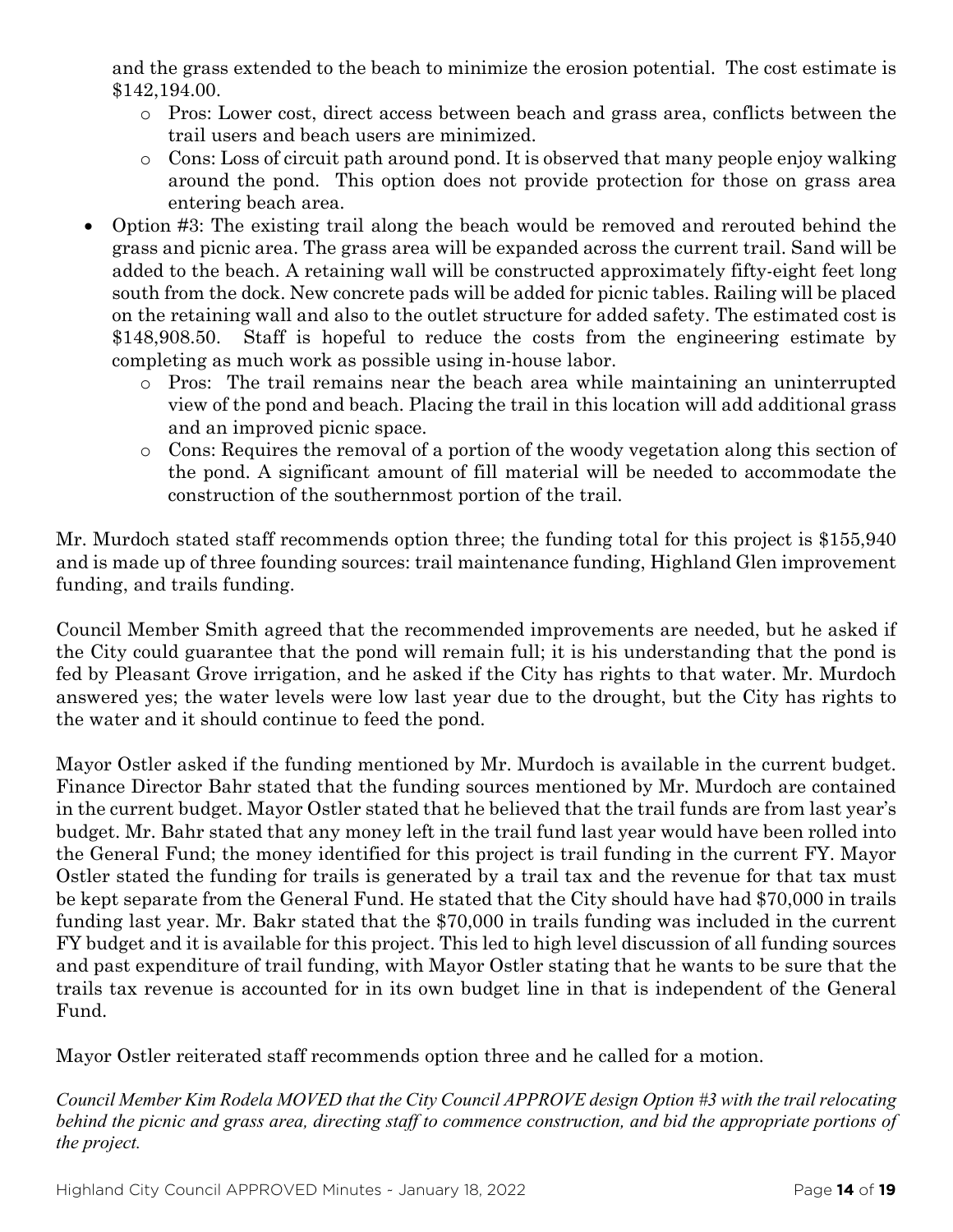and the grass extended to the beach to minimize the erosion potential. The cost estimate is \$142,194.00.

- o Pros: Lower cost, direct access between beach and grass area, conflicts between the trail users and beach users are minimized.
- o Cons: Loss of circuit path around pond. It is observed that many people enjoy walking around the pond. This option does not provide protection for those on grass area entering beach area.
- Option #3: The existing trail along the beach would be removed and rerouted behind the grass and picnic area. The grass area will be expanded across the current trail. Sand will be added to the beach. A retaining wall will be constructed approximately fifty-eight feet long south from the dock. New concrete pads will be added for picnic tables. Railing will be placed on the retaining wall and also to the outlet structure for added safety. The estimated cost is \$148,908.50. Staff is hopeful to reduce the costs from the engineering estimate by completing as much work as possible using in-house labor.
	- o Pros: The trail remains near the beach area while maintaining an uninterrupted view of the pond and beach. Placing the trail in this location will add additional grass and an improved picnic space.
	- o Cons: Requires the removal of a portion of the woody vegetation along this section of the pond. A significant amount of fill material will be needed to accommodate the construction of the southernmost portion of the trail.

Mr. Murdoch stated staff recommends option three; the funding total for this project is \$155,940 and is made up of three founding sources: trail maintenance funding, Highland Glen improvement funding, and trails funding.

Council Member Smith agreed that the recommended improvements are needed, but he asked if the City could guarantee that the pond will remain full; it is his understanding that the pond is fed by Pleasant Grove irrigation, and he asked if the City has rights to that water. Mr. Murdoch answered yes; the water levels were low last year due to the drought, but the City has rights to the water and it should continue to feed the pond.

Mayor Ostler asked if the funding mentioned by Mr. Murdoch is available in the current budget. Finance Director Bahr stated that the funding sources mentioned by Mr. Murdoch are contained in the current budget. Mayor Ostler stated that he believed that the trail funds are from last year's budget. Mr. Bahr stated that any money left in the trail fund last year would have been rolled into the General Fund; the money identified for this project is trail funding in the current FY. Mayor Ostler stated the funding for trails is generated by a trail tax and the revenue for that tax must be kept separate from the General Fund. He stated that the City should have had \$70,000 in trails funding last year. Mr. Bakr stated that the \$70,000 in trails funding was included in the current FY budget and it is available for this project. This led to high level discussion of all funding sources and past expenditure of trail funding, with Mayor Ostler stating that he wants to be sure that the trails tax revenue is accounted for in its own budget line in that is independent of the General Fund.

Mayor Ostler reiterated staff recommends option three and he called for a motion.

*Council Member Kim Rodela MOVED that the City Council APPROVE design Option #3 with the trail relocating behind the picnic and grass area, directing staff to commence construction, and bid the appropriate portions of the project.*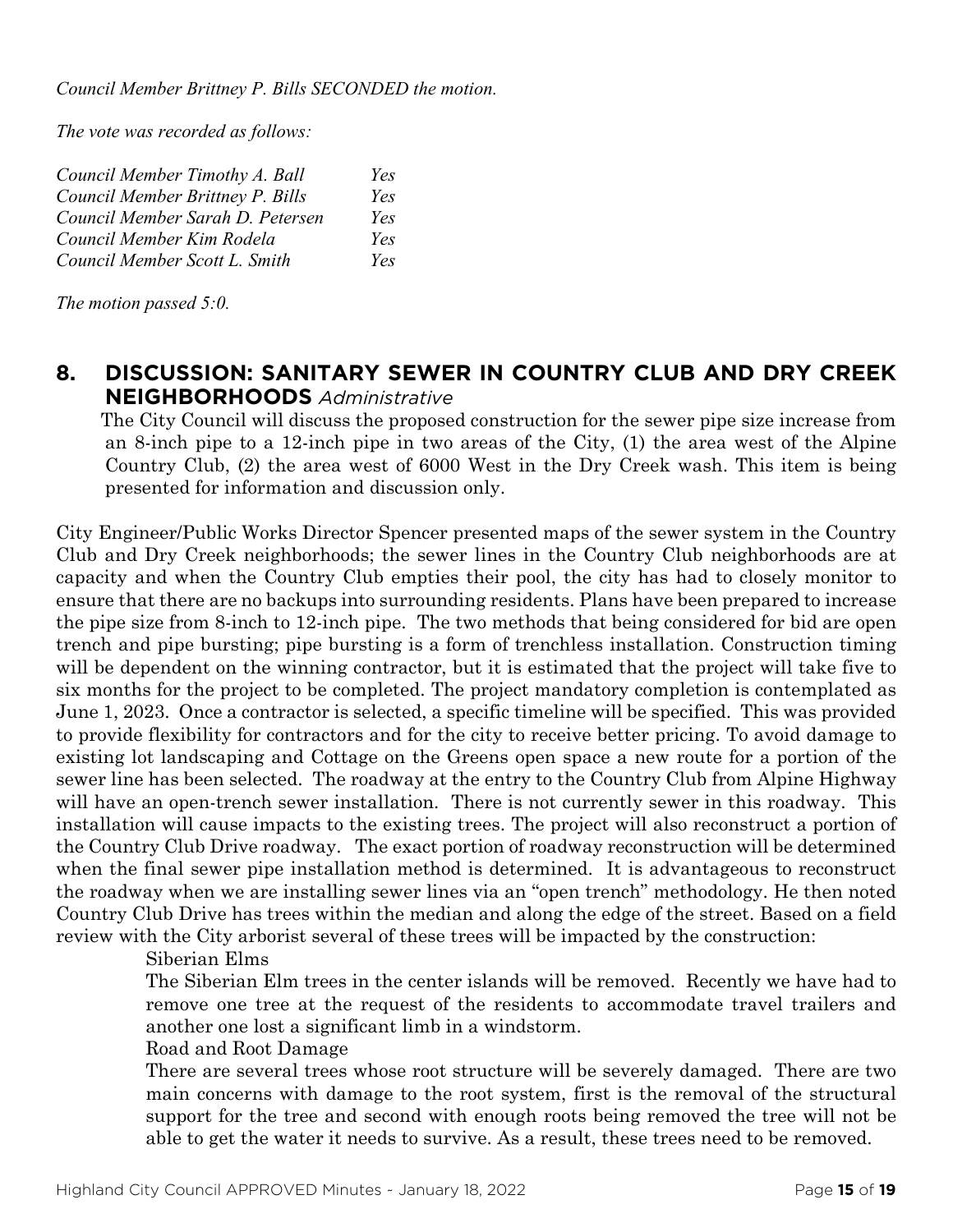*The vote was recorded as follows:*

| Council Member Timothy A. Ball   | Yes |
|----------------------------------|-----|
| Council Member Brittney P. Bills | Yes |
| Council Member Sarah D. Petersen | Yes |
| Council Member Kim Rodela        | Yes |
| Council Member Scott L. Smith    | Yes |

*The motion passed 5:0.* 

# **8. DISCUSSION: SANITARY SEWER IN COUNTRY CLUB AND DRY CREEK NEIGHBORHOODS** *Administrative*

The City Council will discuss the proposed construction for the sewer pipe size increase from an 8-inch pipe to a 12-inch pipe in two areas of the City, (1) the area west of the Alpine Country Club, (2) the area west of 6000 West in the Dry Creek wash. This item is being presented for information and discussion only.

City Engineer/Public Works Director Spencer presented maps of the sewer system in the Country Club and Dry Creek neighborhoods; the sewer lines in the Country Club neighborhoods are at capacity and when the Country Club empties their pool, the city has had to closely monitor to ensure that there are no backups into surrounding residents. Plans have been prepared to increase the pipe size from 8-inch to 12-inch pipe. The two methods that being considered for bid are open trench and pipe bursting; pipe bursting is a form of trenchless installation. Construction timing will be dependent on the winning contractor, but it is estimated that the project will take five to six months for the project to be completed. The project mandatory completion is contemplated as June 1, 2023. Once a contractor is selected, a specific timeline will be specified. This was provided to provide flexibility for contractors and for the city to receive better pricing. To avoid damage to existing lot landscaping and Cottage on the Greens open space a new route for a portion of the sewer line has been selected. The roadway at the entry to the Country Club from Alpine Highway will have an open-trench sewer installation. There is not currently sewer in this roadway. This installation will cause impacts to the existing trees. The project will also reconstruct a portion of the Country Club Drive roadway. The exact portion of roadway reconstruction will be determined when the final sewer pipe installation method is determined. It is advantageous to reconstruct the roadway when we are installing sewer lines via an "open trench" methodology. He then noted Country Club Drive has trees within the median and along the edge of the street. Based on a field review with the City arborist several of these trees will be impacted by the construction:

#### Siberian Elms

The Siberian Elm trees in the center islands will be removed. Recently we have had to remove one tree at the request of the residents to accommodate travel trailers and another one lost a significant limb in a windstorm.

Road and Root Damage

There are several trees whose root structure will be severely damaged. There are two main concerns with damage to the root system, first is the removal of the structural support for the tree and second with enough roots being removed the tree will not be able to get the water it needs to survive. As a result, these trees need to be removed.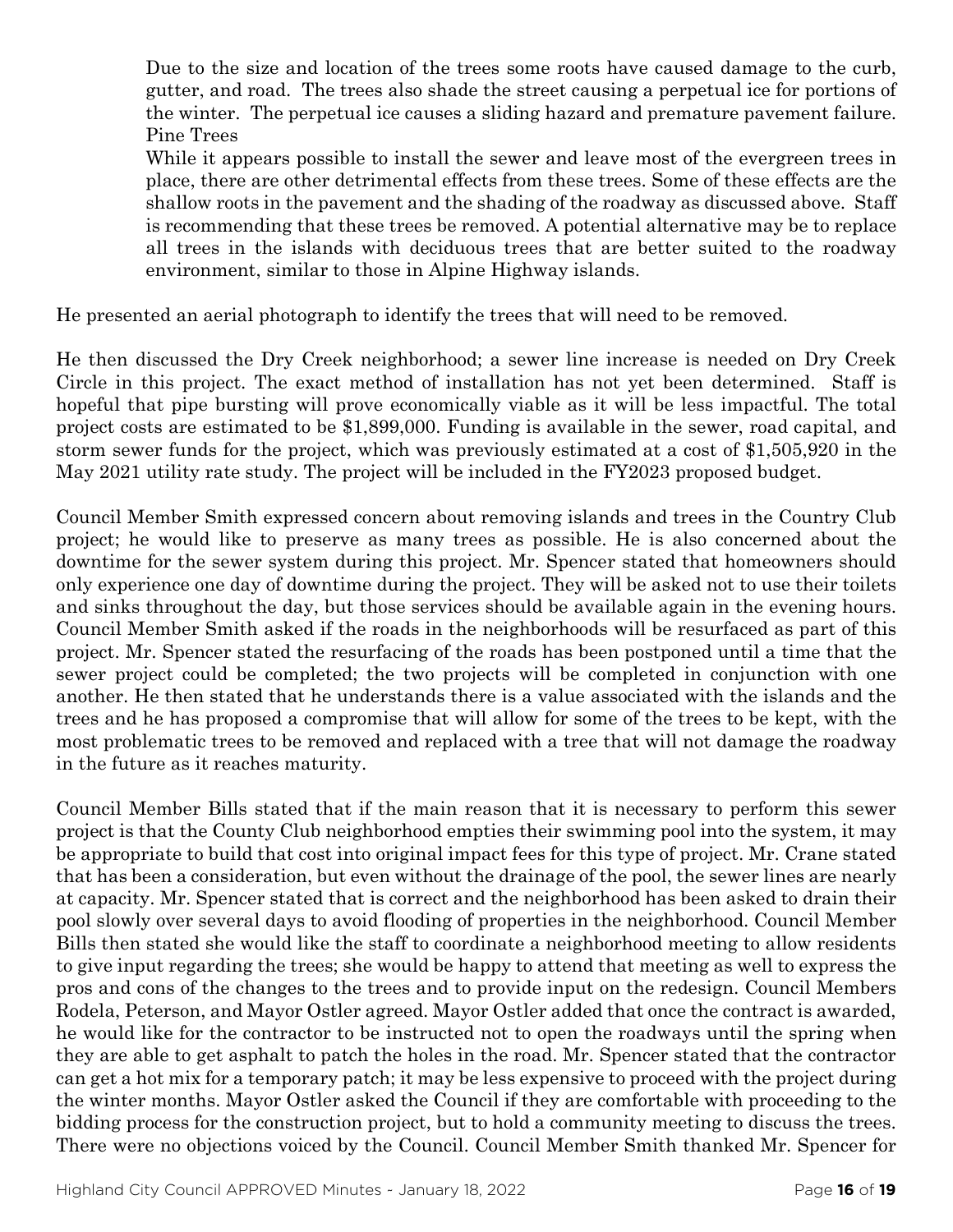Due to the size and location of the trees some roots have caused damage to the curb, gutter, and road. The trees also shade the street causing a perpetual ice for portions of the winter. The perpetual ice causes a sliding hazard and premature pavement failure. Pine Trees

While it appears possible to install the sewer and leave most of the evergreen trees in place, there are other detrimental effects from these trees. Some of these effects are the shallow roots in the pavement and the shading of the roadway as discussed above. Staff is recommending that these trees be removed. A potential alternative may be to replace all trees in the islands with deciduous trees that are better suited to the roadway environment, similar to those in Alpine Highway islands.

He presented an aerial photograph to identify the trees that will need to be removed.

He then discussed the Dry Creek neighborhood; a sewer line increase is needed on Dry Creek Circle in this project. The exact method of installation has not yet been determined. Staff is hopeful that pipe bursting will prove economically viable as it will be less impactful. The total project costs are estimated to be \$1,899,000. Funding is available in the sewer, road capital, and storm sewer funds for the project, which was previously estimated at a cost of \$1,505,920 in the May 2021 utility rate study. The project will be included in the FY2023 proposed budget.

Council Member Smith expressed concern about removing islands and trees in the Country Club project; he would like to preserve as many trees as possible. He is also concerned about the downtime for the sewer system during this project. Mr. Spencer stated that homeowners should only experience one day of downtime during the project. They will be asked not to use their toilets and sinks throughout the day, but those services should be available again in the evening hours. Council Member Smith asked if the roads in the neighborhoods will be resurfaced as part of this project. Mr. Spencer stated the resurfacing of the roads has been postponed until a time that the sewer project could be completed; the two projects will be completed in conjunction with one another. He then stated that he understands there is a value associated with the islands and the trees and he has proposed a compromise that will allow for some of the trees to be kept, with the most problematic trees to be removed and replaced with a tree that will not damage the roadway in the future as it reaches maturity.

Council Member Bills stated that if the main reason that it is necessary to perform this sewer project is that the County Club neighborhood empties their swimming pool into the system, it may be appropriate to build that cost into original impact fees for this type of project. Mr. Crane stated that has been a consideration, but even without the drainage of the pool, the sewer lines are nearly at capacity. Mr. Spencer stated that is correct and the neighborhood has been asked to drain their pool slowly over several days to avoid flooding of properties in the neighborhood. Council Member Bills then stated she would like the staff to coordinate a neighborhood meeting to allow residents to give input regarding the trees; she would be happy to attend that meeting as well to express the pros and cons of the changes to the trees and to provide input on the redesign. Council Members Rodela, Peterson, and Mayor Ostler agreed. Mayor Ostler added that once the contract is awarded, he would like for the contractor to be instructed not to open the roadways until the spring when they are able to get asphalt to patch the holes in the road. Mr. Spencer stated that the contractor can get a hot mix for a temporary patch; it may be less expensive to proceed with the project during the winter months. Mayor Ostler asked the Council if they are comfortable with proceeding to the bidding process for the construction project, but to hold a community meeting to discuss the trees. There were no objections voiced by the Council. Council Member Smith thanked Mr. Spencer for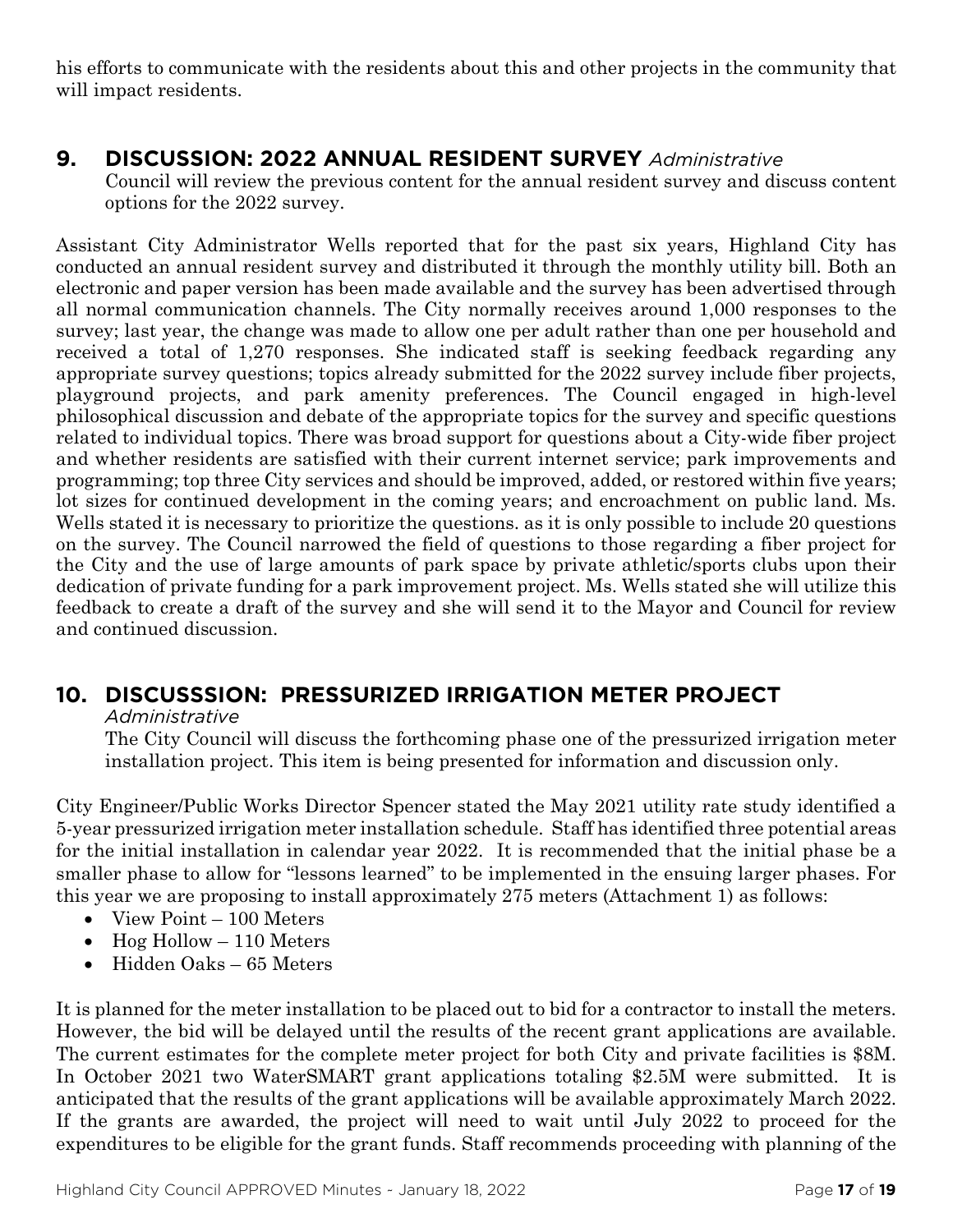his efforts to communicate with the residents about this and other projects in the community that will impact residents.

# **9. DISCUSSION: 2022 ANNUAL RESIDENT SURVEY** *Administrative*

Council will review the previous content for the annual resident survey and discuss content options for the 2022 survey.

Assistant City Administrator Wells reported that for the past six years, Highland City has conducted an annual resident survey and distributed it through the monthly utility bill. Both an electronic and paper version has been made available and the survey has been advertised through all normal communication channels. The City normally receives around 1,000 responses to the survey; last year, the change was made to allow one per adult rather than one per household and received a total of 1,270 responses. She indicated staff is seeking feedback regarding any appropriate survey questions; topics already submitted for the 2022 survey include fiber projects, playground projects, and park amenity preferences. The Council engaged in high-level philosophical discussion and debate of the appropriate topics for the survey and specific questions related to individual topics. There was broad support for questions about a City-wide fiber project and whether residents are satisfied with their current internet service; park improvements and programming; top three City services and should be improved, added, or restored within five years; lot sizes for continued development in the coming years; and encroachment on public land. Ms. Wells stated it is necessary to prioritize the questions. as it is only possible to include 20 questions on the survey. The Council narrowed the field of questions to those regarding a fiber project for the City and the use of large amounts of park space by private athletic/sports clubs upon their dedication of private funding for a park improvement project. Ms. Wells stated she will utilize this feedback to create a draft of the survey and she will send it to the Mayor and Council for review and continued discussion.

# **10. DISCUSSSION: PRESSURIZED IRRIGATION METER PROJECT**

*Administrative*

The City Council will discuss the forthcoming phase one of the pressurized irrigation meter installation project. This item is being presented for information and discussion only.

City Engineer/Public Works Director Spencer stated the May 2021 utility rate study identified a 5-year pressurized irrigation meter installation schedule. Staff has identified three potential areas for the initial installation in calendar year 2022. It is recommended that the initial phase be a smaller phase to allow for "lessons learned" to be implemented in the ensuing larger phases. For this year we are proposing to install approximately 275 meters (Attachment 1) as follows:

- View Point 100 Meters
- Hog Hollow  $-110$  Meters
- Hidden Oaks 65 Meters

It is planned for the meter installation to be placed out to bid for a contractor to install the meters. However, the bid will be delayed until the results of the recent grant applications are available. The current estimates for the complete meter project for both City and private facilities is \$8M. In October 2021 two WaterSMART grant applications totaling \$2.5M were submitted. It is anticipated that the results of the grant applications will be available approximately March 2022. If the grants are awarded, the project will need to wait until July 2022 to proceed for the expenditures to be eligible for the grant funds. Staff recommends proceeding with planning of the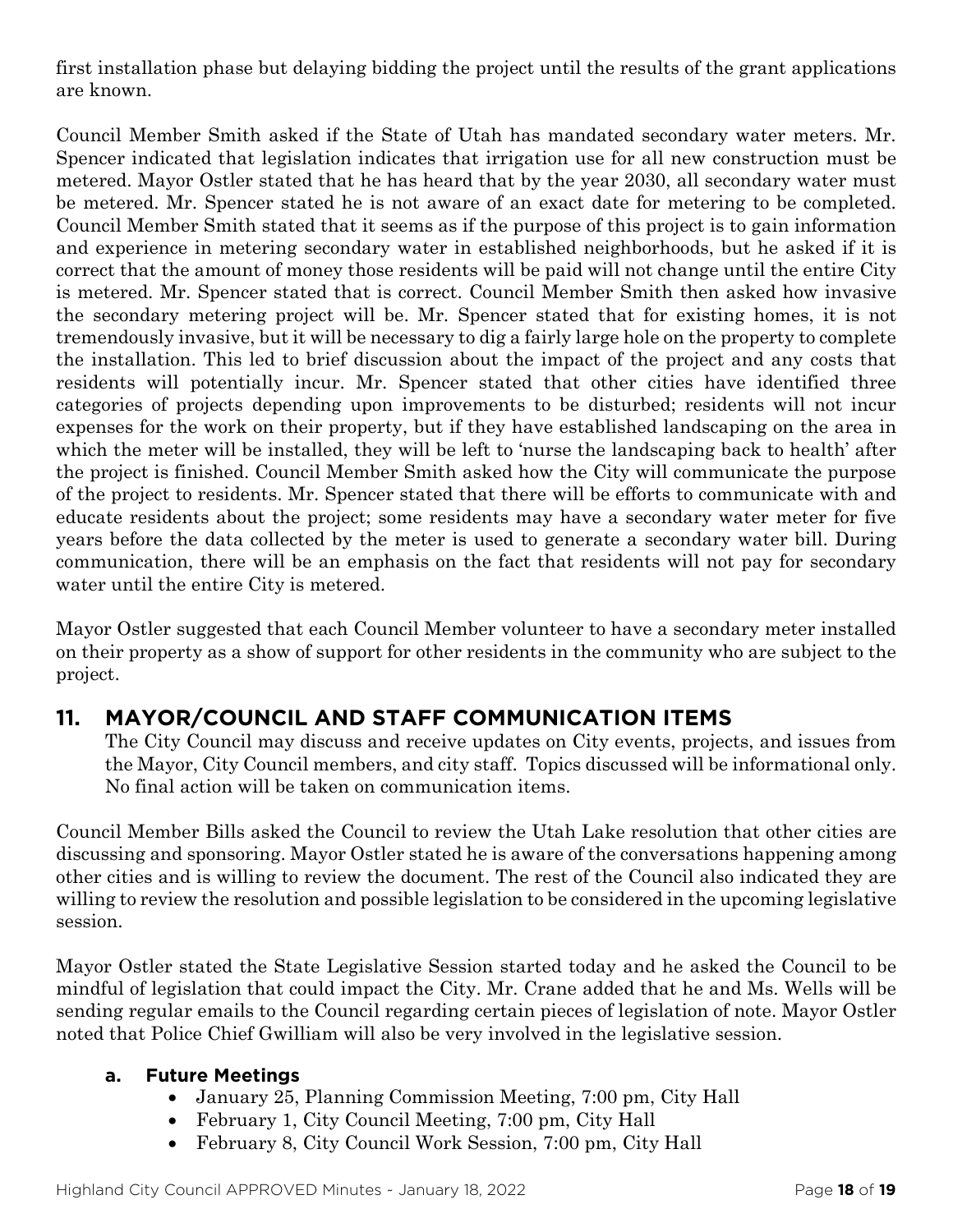first installation phase but delaying bidding the project until the results of the grant applications are known.

Council Member Smith asked if the State of Utah has mandated secondary water meters. Mr. Spencer indicated that legislation indicates that irrigation use for all new construction must be metered. Mayor Ostler stated that he has heard that by the year 2030, all secondary water must be metered. Mr. Spencer stated he is not aware of an exact date for metering to be completed. Council Member Smith stated that it seems as if the purpose of this project is to gain information and experience in metering secondary water in established neighborhoods, but he asked if it is correct that the amount of money those residents will be paid will not change until the entire City is metered. Mr. Spencer stated that is correct. Council Member Smith then asked how invasive the secondary metering project will be. Mr. Spencer stated that for existing homes, it is not tremendously invasive, but it will be necessary to dig a fairly large hole on the property to complete the installation. This led to brief discussion about the impact of the project and any costs that residents will potentially incur. Mr. Spencer stated that other cities have identified three categories of projects depending upon improvements to be disturbed; residents will not incur expenses for the work on their property, but if they have established landscaping on the area in which the meter will be installed, they will be left to 'nurse the landscaping back to health' after the project is finished. Council Member Smith asked how the City will communicate the purpose of the project to residents. Mr. Spencer stated that there will be efforts to communicate with and educate residents about the project; some residents may have a secondary water meter for five years before the data collected by the meter is used to generate a secondary water bill. During communication, there will be an emphasis on the fact that residents will not pay for secondary water until the entire City is metered.

Mayor Ostler suggested that each Council Member volunteer to have a secondary meter installed on their property as a show of support for other residents in the community who are subject to the project.

# **11. MAYOR/COUNCIL AND STAFF COMMUNICATION ITEMS**

The City Council may discuss and receive updates on City events, projects, and issues from the Mayor, City Council members, and city staff. Topics discussed will be informational only. No final action will be taken on communication items.

Council Member Bills asked the Council to review the Utah Lake resolution that other cities are discussing and sponsoring. Mayor Ostler stated he is aware of the conversations happening among other cities and is willing to review the document. The rest of the Council also indicated they are willing to review the resolution and possible legislation to be considered in the upcoming legislative session.

Mayor Ostler stated the State Legislative Session started today and he asked the Council to be mindful of legislation that could impact the City. Mr. Crane added that he and Ms. Wells will be sending regular emails to the Council regarding certain pieces of legislation of note. Mayor Ostler noted that Police Chief Gwilliam will also be very involved in the legislative session.

## **a. Future Meetings**

- January 25, Planning Commission Meeting, 7:00 pm, City Hall
- February 1, City Council Meeting, 7:00 pm, City Hall
- February 8, City Council Work Session, 7:00 pm, City Hall